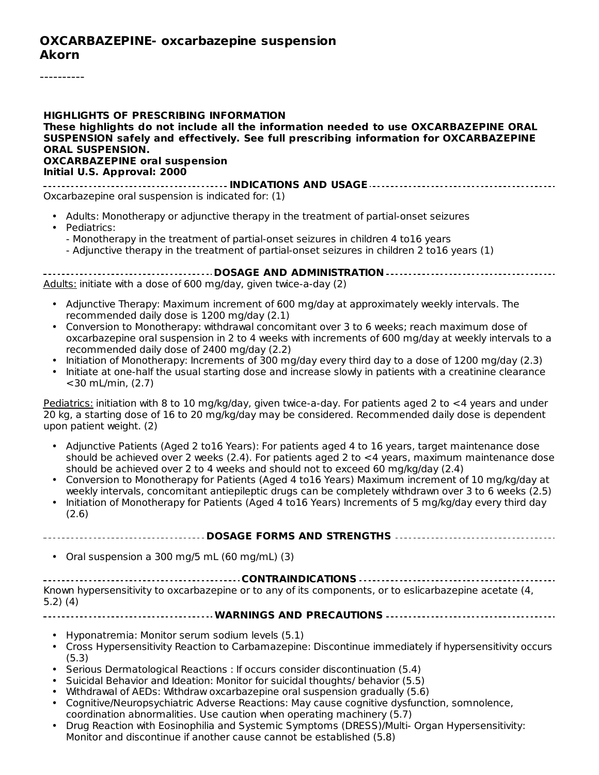#### **OXCARBAZEPINE- oxcarbazepine suspension Akorn**

#### **HIGHLIGHTS OF PRESCRIBING INFORMATION These highlights do not include all the information needed to use OXCARBAZEPINE ORAL SUSPENSION safely and effectively. See full prescribing information for OXCARBAZEPINE ORAL SUSPENSION. OXCARBAZEPINE oral suspension Initial U.S. Approval: 2000**

**INDICATIONS AND USAGE** Oxcarbazepine oral suspension is indicated for: (1)

- Adults: Monotherapy or adjunctive therapy in the treatment of partial-onset seizures
- Pediatrics:
	- Monotherapy in the treatment of partial-onset seizures in children 4 to16 years
	- Adjunctive therapy in the treatment of partial-onset seizures in children 2 to16 years (1)
- **DOSAGE AND ADMINISTRATION** Adults: initiate with a dose of 600 mg/day, given twice-a-day (2)
	- Adjunctive Therapy: Maximum increment of 600 mg/day at approximately weekly intervals. The recommended daily dose is 1200 mg/day (2.1)
	- Conversion to Monotherapy: withdrawal concomitant over 3 to 6 weeks; reach maximum dose of oxcarbazepine oral suspension in 2 to 4 weeks with increments of 600 mg/day at weekly intervals to a recommended daily dose of 2400 mg/day (2.2)
	- Initiation of Monotherapy: Increments of 300 mg/day every third day to a dose of 1200 mg/day (2.3)
	- Initiate at one-half the usual starting dose and increase slowly in patients with a creatinine clearance <30 mL/min, (2.7)

Pediatrics: initiation with 8 to 10 mg/kg/day, given twice-a-day. For patients aged 2 to <4 years and under 20 kg, a starting dose of 16 to 20 mg/kg/day may be considered. Recommended daily dose is dependent upon patient weight. (2)

- Adjunctive Patients (Aged 2 to16 Years): For patients aged 4 to 16 years, target maintenance dose should be achieved over 2 weeks (2.4). For patients aged 2 to <4 years, maximum maintenance dose should be achieved over 2 to 4 weeks and should not to exceed 60 mg/kg/day (2.4)
- Conversion to Monotherapy for Patients (Aged 4 to16 Years) Maximum increment of 10 mg/kg/day at weekly intervals, concomitant antiepileptic drugs can be completely withdrawn over 3 to 6 weeks (2.5)
- Initiation of Monotherapy for Patients (Aged 4 to16 Years) Increments of 5 mg/kg/day every third day (2.6)

**DOSAGE FORMS AND STRENGTHS**

• Oral suspension a 300 mg/5 mL (60 mg/mL) (3)

**CONTRAINDICATIONS**

Known hypersensitivity to oxcarbazepine or to any of its components, or to eslicarbazepine acetate (4, 5.2) (4)

**WARNINGS AND PRECAUTIONS**

- Hyponatremia: Monitor serum sodium levels (5.1)
- Cross Hypersensitivity Reaction to Carbamazepine: Discontinue immediately if hypersensitivity occurs (5.3)
- Serious Dermatological Reactions : If occurs consider discontinuation (5.4)
- Suicidal Behavior and Ideation: Monitor for suicidal thoughts/ behavior (5.5)
- Withdrawal of AEDs: Withdraw oxcarbazepine oral suspension gradually (5.6)
- Cognitive/Neuropsychiatric Adverse Reactions: May cause cognitive dysfunction, somnolence, coordination abnormalities. Use caution when operating machinery (5.7)
- Drug Reaction with Eosinophilia and Systemic Symptoms (DRESS)/Multi- Organ Hypersensitivity: Monitor and discontinue if another cause cannot be established (5.8)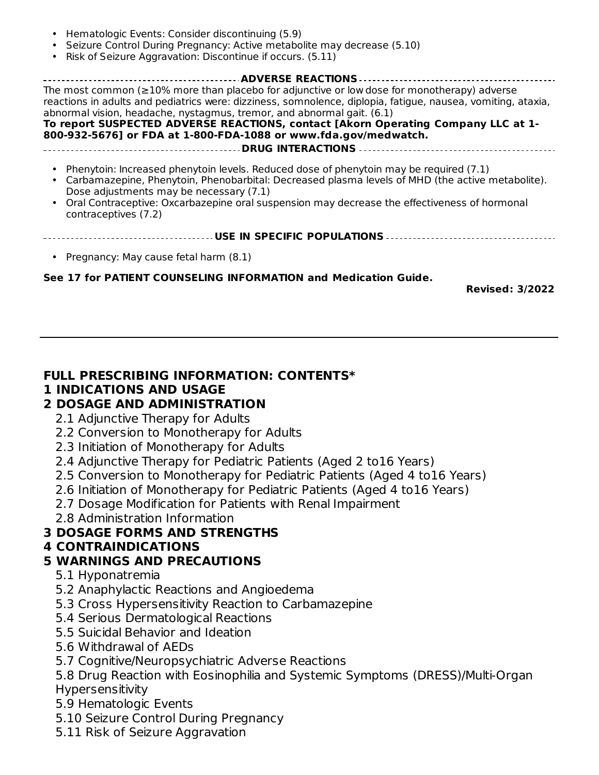- • Seizure Control During Pregnancy: Active metabolite may decrease (5.10) • **ADVERSE REACTIONS** The most common (≥10% more than placebo for adjunctive or low dose for monotherapy) adverse reactions in adults and pediatrics were: dizziness, somnolence, diplopia, fatigue, nausea, vomiting, ataxia, abnormal vision, headache, nystagmus, tremor, and abnormal gait. (6.1) **To report SUSPECTED ADVERSE REACTIONS, contact [Akorn Operating Company LLC at 1- 800-932-5676] or FDA at 1-800-FDA-1088 or www.fda.gov/medwatch. DRUG INTERACTIONS** • Phenytoin: Increased phenytoin levels. Reduced dose of phenytoin may be required (7.1) • Carbamazepine, Phenytoin, Phenobarbital: Decreased plasma levels of MHD (the active metabolite). Hematologic Events: Consider discontinuing (5.9) Risk of Seizure Aggravation: Discontinue if occurs. (5.11) Dose adjustments may be necessary (7.1)
	- Oral Contraceptive: Oxcarbazepine oral suspension may decrease the effectiveness of hormonal contraceptives (7.2)
	- **USE IN SPECIFIC POPULATIONS**
	- Pregnancy: May cause fetal harm (8.1)

#### **See 17 for PATIENT COUNSELING INFORMATION and Medication Guide.**

 $M_{\rm tot}$  and discontinue if and discontinue if and discontinue if and discontinue  $\Delta$ 

**Revised: 3/2022**

### **FULL PRESCRIBING INFORMATION: CONTENTS\***

#### **1 INDICATIONS AND USAGE**

### **2 DOSAGE AND ADMINISTRATION**

- 2.1 Adjunctive Therapy for Adults
- 2.2 Conversion to Monotherapy for Adults
- 2.3 Initiation of Monotherapy for Adults
- 2.4 Adjunctive Therapy for Pediatric Patients (Aged 2 to16 Years)
- 2.5 Conversion to Monotherapy for Pediatric Patients (Aged 4 to16 Years)
- 2.6 Initiation of Monotherapy for Pediatric Patients (Aged 4 to16 Years)
- 2.7 Dosage Modification for Patients with Renal Impairment
- 2.8 Administration Information

### **3 DOSAGE FORMS AND STRENGTHS**

**4 CONTRAINDICATIONS**

## **5 WARNINGS AND PRECAUTIONS**

- 5.1 Hyponatremia
- 5.2 Anaphylactic Reactions and Angioedema
- 5.3 Cross Hypersensitivity Reaction to Carbamazepine
- 5.4 Serious Dermatological Reactions
- 5.5 Suicidal Behavior and Ideation
- 5.6 Withdrawal of AEDs
- 5.7 Cognitive/Neuropsychiatric Adverse Reactions
- 5.8 Drug Reaction with Eosinophilia and Systemic Symptoms (DRESS)/Multi-Organ Hypersensitivity
- 5.9 Hematologic Events
- 5.10 Seizure Control During Pregnancy
- 5.11 Risk of Seizure Aggravation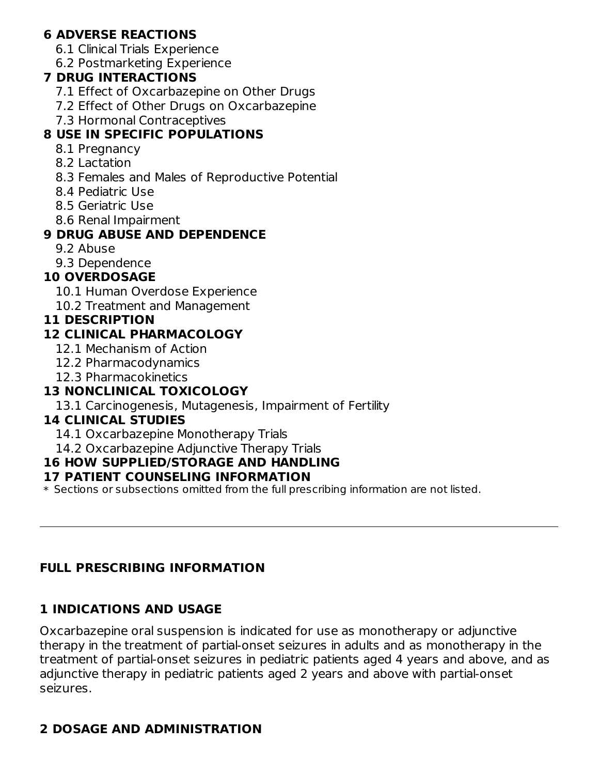### **6 ADVERSE REACTIONS**

- 6.1 Clinical Trials Experience
- 6.2 Postmarketing Experience

### **7 DRUG INTERACTIONS**

- 7.1 Effect of Oxcarbazepine on Other Drugs
- 7.2 Effect of Other Drugs on Oxcarbazepine
- 7.3 Hormonal Contraceptives

## **8 USE IN SPECIFIC POPULATIONS**

- 8.1 Pregnancy
- 8.2 Lactation
- 8.3 Females and Males of Reproductive Potential
- 8.4 Pediatric Use
- 8.5 Geriatric Use
- 8.6 Renal Impairment

## **9 DRUG ABUSE AND DEPENDENCE**

- 9.2 Abuse
- 9.3 Dependence

## **10 OVERDOSAGE**

- 10.1 Human Overdose Experience
- 10.2 Treatment and Management

## **11 DESCRIPTION**

## **12 CLINICAL PHARMACOLOGY**

- 12.1 Mechanism of Action
- 12.2 Pharmacodynamics
- 12.3 Pharmacokinetics

## **13 NONCLINICAL TOXICOLOGY**

13.1 Carcinogenesis, Mutagenesis, Impairment of Fertility

## **14 CLINICAL STUDIES**

- 14.1 Oxcarbazepine Monotherapy Trials
- 14.2 Oxcarbazepine Adjunctive Therapy Trials

## **16 HOW SUPPLIED/STORAGE AND HANDLING**

### **17 PATIENT COUNSELING INFORMATION**

 $\ast$  Sections or subsections omitted from the full prescribing information are not listed.

### **FULL PRESCRIBING INFORMATION**

## **1 INDICATIONS AND USAGE**

Oxcarbazepine oral suspension is indicated for use as monotherapy or adjunctive therapy in the treatment of partial-onset seizures in adults and as monotherapy in the treatment of partial-onset seizures in pediatric patients aged 4 years and above, and as adjunctive therapy in pediatric patients aged 2 years and above with partial-onset seizures.

## **2 DOSAGE AND ADMINISTRATION**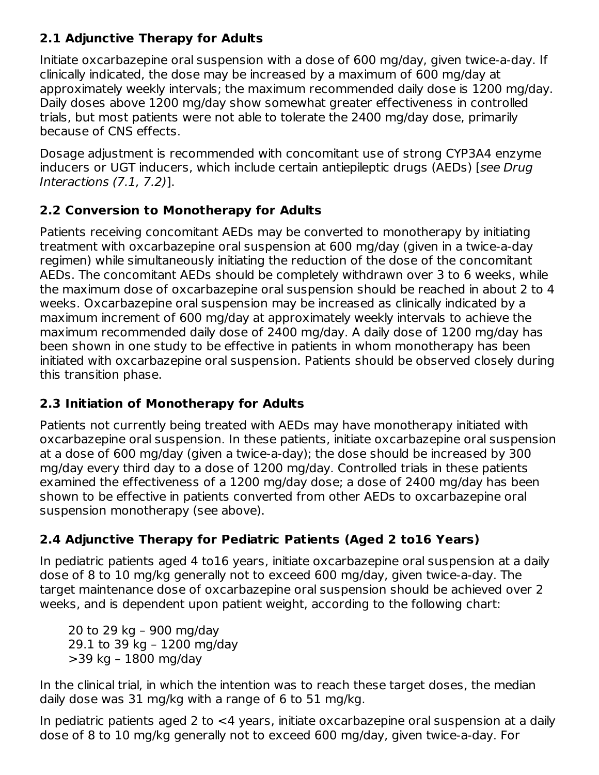## **2.1 Adjunctive Therapy for Adults**

Initiate oxcarbazepine oral suspension with a dose of 600 mg/day, given twice-a-day. If clinically indicated, the dose may be increased by a maximum of 600 mg/day at approximately weekly intervals; the maximum recommended daily dose is 1200 mg/day. Daily doses above 1200 mg/day show somewhat greater effectiveness in controlled trials, but most patients were not able to tolerate the 2400 mg/day dose, primarily because of CNS effects.

Dosage adjustment is recommended with concomitant use of strong CYP3A4 enzyme inducers or UGT inducers, which include certain antiepileptic drugs (AEDs) [see Drug Interactions (7.1, 7.2)].

## **2.2 Conversion to Monotherapy for Adults**

Patients receiving concomitant AEDs may be converted to monotherapy by initiating treatment with oxcarbazepine oral suspension at 600 mg/day (given in a twice-a-day regimen) while simultaneously initiating the reduction of the dose of the concomitant AEDs. The concomitant AEDs should be completely withdrawn over 3 to 6 weeks, while the maximum dose of oxcarbazepine oral suspension should be reached in about 2 to 4 weeks. Oxcarbazepine oral suspension may be increased as clinically indicated by a maximum increment of 600 mg/day at approximately weekly intervals to achieve the maximum recommended daily dose of 2400 mg/day. A daily dose of 1200 mg/day has been shown in one study to be effective in patients in whom monotherapy has been initiated with oxcarbazepine oral suspension. Patients should be observed closely during this transition phase.

## **2.3 Initiation of Monotherapy for Adults**

Patients not currently being treated with AEDs may have monotherapy initiated with oxcarbazepine oral suspension. In these patients, initiate oxcarbazepine oral suspension at a dose of 600 mg/day (given a twice-a-day); the dose should be increased by 300 mg/day every third day to a dose of 1200 mg/day. Controlled trials in these patients examined the effectiveness of a 1200 mg/day dose; a dose of 2400 mg/day has been shown to be effective in patients converted from other AEDs to oxcarbazepine oral suspension monotherapy (see above).

# **2.4 Adjunctive Therapy for Pediatric Patients (Aged 2 to16 Years)**

In pediatric patients aged 4 to16 years, initiate oxcarbazepine oral suspension at a daily dose of 8 to 10 mg/kg generally not to exceed 600 mg/day, given twice-a-day. The target maintenance dose of oxcarbazepine oral suspension should be achieved over 2 weeks, and is dependent upon patient weight, according to the following chart:

20 to 29 kg – 900 mg/day 29.1 to 39 kg – 1200 mg/day >39 kg – 1800 mg/day

In the clinical trial, in which the intention was to reach these target doses, the median daily dose was 31 mg/kg with a range of 6 to 51 mg/kg.

In pediatric patients aged 2 to <4 years, initiate oxcarbazepine oral suspension at a daily dose of 8 to 10 mg/kg generally not to exceed 600 mg/day, given twice-a-day. For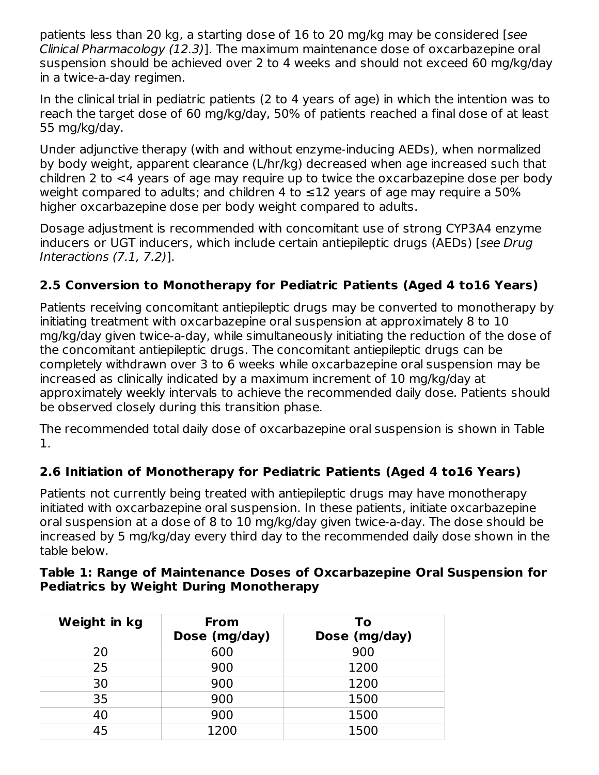patients less than 20 kg, a starting dose of 16 to 20 mg/kg may be considered [see Clinical Pharmacology (12.3)]. The maximum maintenance dose of oxcarbazepine oral suspension should be achieved over 2 to 4 weeks and should not exceed 60 mg/kg/day in a twice-a-day regimen.

In the clinical trial in pediatric patients (2 to 4 years of age) in which the intention was to reach the target dose of 60 mg/kg/day, 50% of patients reached a final dose of at least 55 mg/kg/day.

Under adjunctive therapy (with and without enzyme-inducing AEDs), when normalized by body weight, apparent clearance (L/hr/kg) decreased when age increased such that children 2 to <4 years of age may require up to twice the oxcarbazepine dose per body weight compared to adults; and children 4 to  $\leq$ 12 years of age may require a 50% higher oxcarbazepine dose per body weight compared to adults.

Dosage adjustment is recommended with concomitant use of strong CYP3A4 enzyme inducers or UGT inducers, which include certain antiepileptic drugs (AEDs) [see Drug Interactions (7.1, 7.2)].

## **2.5 Conversion to Monotherapy for Pediatric Patients (Aged 4 to16 Years)**

Patients receiving concomitant antiepileptic drugs may be converted to monotherapy by initiating treatment with oxcarbazepine oral suspension at approximately 8 to 10 mg/kg/day given twice-a-day, while simultaneously initiating the reduction of the dose of the concomitant antiepileptic drugs. The concomitant antiepileptic drugs can be completely withdrawn over 3 to 6 weeks while oxcarbazepine oral suspension may be increased as clinically indicated by a maximum increment of 10 mg/kg/day at approximately weekly intervals to achieve the recommended daily dose. Patients should be observed closely during this transition phase.

The recommended total daily dose of oxcarbazepine oral suspension is shown in Table 1.

## **2.6 Initiation of Monotherapy for Pediatric Patients (Aged 4 to16 Years)**

Patients not currently being treated with antiepileptic drugs may have monotherapy initiated with oxcarbazepine oral suspension. In these patients, initiate oxcarbazepine oral suspension at a dose of 8 to 10 mg/kg/day given twice-a-day. The dose should be increased by 5 mg/kg/day every third day to the recommended daily dose shown in the table below.

| Table 1: Range of Maintenance Doses of Oxcarbazepine Oral Suspension for |  |
|--------------------------------------------------------------------------|--|
| <b>Pediatrics by Weight During Monotherapy</b>                           |  |

| Weight in kg | <b>From</b><br>Dose (mg/day) | To<br>Dose (mg/day) |
|--------------|------------------------------|---------------------|
| 20           | 600                          | 900                 |
| 25           | 900                          | 1200                |
| 30           | 900                          | 1200                |
| 35           | 900                          | 1500                |
| 40           | 900                          | 1500                |
| 45           | 1200                         | 1500                |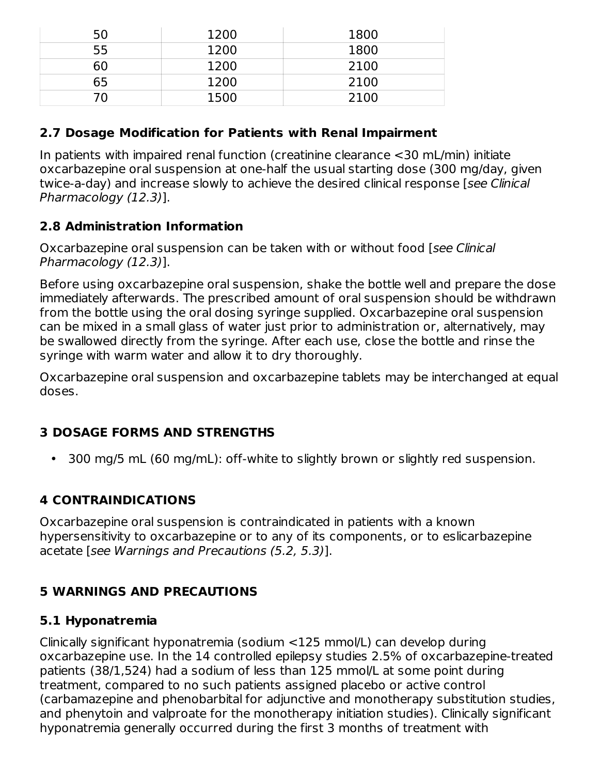| 50 | 1200 | 1800 |
|----|------|------|
| 55 | 1200 | 1800 |
| 60 | 1200 | 2100 |
| 65 | 1200 | 2100 |
|    | 1500 | 2100 |

## **2.7 Dosage Modification for Patients with Renal Impairment**

In patients with impaired renal function (creatinine clearance <30 mL/min) initiate oxcarbazepine oral suspension at one-half the usual starting dose (300 mg/day, given twice-a-day) and increase slowly to achieve the desired clinical response [see Clinical Pharmacology (12.3)].

## **2.8 Administration Information**

Oxcarbazepine oral suspension can be taken with or without food [see Clinical Pharmacology (12.3)].

Before using oxcarbazepine oral suspension, shake the bottle well and prepare the dose immediately afterwards. The prescribed amount of oral suspension should be withdrawn from the bottle using the oral dosing syringe supplied. Oxcarbazepine oral suspension can be mixed in a small glass of water just prior to administration or, alternatively, may be swallowed directly from the syringe. After each use, close the bottle and rinse the syringe with warm water and allow it to dry thoroughly.

Oxcarbazepine oral suspension and oxcarbazepine tablets may be interchanged at equal doses.

## **3 DOSAGE FORMS AND STRENGTHS**

 $\bullet$ 300 mg/5 mL (60 mg/mL): off-white to slightly brown or slightly red suspension.

# **4 CONTRAINDICATIONS**

Oxcarbazepine oral suspension is contraindicated in patients with a known hypersensitivity to oxcarbazepine or to any of its components, or to eslicarbazepine acetate [see Warnings and Precautions (5.2, 5.3)].

## **5 WARNINGS AND PRECAUTIONS**

## **5.1 Hyponatremia**

Clinically significant hyponatremia (sodium <125 mmol/L) can develop during oxcarbazepine use. In the 14 controlled epilepsy studies 2.5% of oxcarbazepine-treated patients (38/1,524) had a sodium of less than 125 mmol/L at some point during treatment, compared to no such patients assigned placebo or active control (carbamazepine and phenobarbital for adjunctive and monotherapy substitution studies, and phenytoin and valproate for the monotherapy initiation studies). Clinically significant hyponatremia generally occurred during the first 3 months of treatment with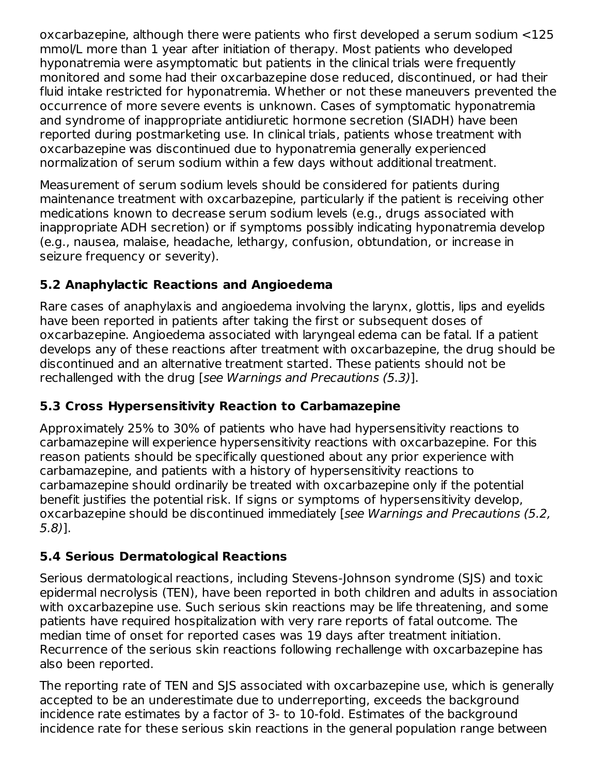oxcarbazepine, although there were patients who first developed a serum sodium <125 mmol/L more than 1 year after initiation of therapy. Most patients who developed hyponatremia were asymptomatic but patients in the clinical trials were frequently monitored and some had their oxcarbazepine dose reduced, discontinued, or had their fluid intake restricted for hyponatremia. Whether or not these maneuvers prevented the occurrence of more severe events is unknown. Cases of symptomatic hyponatremia and syndrome of inappropriate antidiuretic hormone secretion (SIADH) have been reported during postmarketing use. In clinical trials, patients whose treatment with oxcarbazepine was discontinued due to hyponatremia generally experienced normalization of serum sodium within a few days without additional treatment.

Measurement of serum sodium levels should be considered for patients during maintenance treatment with oxcarbazepine, particularly if the patient is receiving other medications known to decrease serum sodium levels (e.g., drugs associated with inappropriate ADH secretion) or if symptoms possibly indicating hyponatremia develop (e.g., nausea, malaise, headache, lethargy, confusion, obtundation, or increase in seizure frequency or severity).

## **5.2 Anaphylactic Reactions and Angioedema**

Rare cases of anaphylaxis and angioedema involving the larynx, glottis, lips and eyelids have been reported in patients after taking the first or subsequent doses of oxcarbazepine. Angioedema associated with laryngeal edema can be fatal. If a patient develops any of these reactions after treatment with oxcarbazepine, the drug should be discontinued and an alternative treatment started. These patients should not be rechallenged with the drug [see Warnings and Precautions (5.3)].

## **5.3 Cross Hypersensitivity Reaction to Carbamazepine**

Approximately 25% to 30% of patients who have had hypersensitivity reactions to carbamazepine will experience hypersensitivity reactions with oxcarbazepine. For this reason patients should be specifically questioned about any prior experience with carbamazepine, and patients with a history of hypersensitivity reactions to carbamazepine should ordinarily be treated with oxcarbazepine only if the potential benefit justifies the potential risk. If signs or symptoms of hypersensitivity develop, oxcarbazepine should be discontinued immediately [see Warnings and Precautions (5.2, 5.8)].

## **5.4 Serious Dermatological Reactions**

Serious dermatological reactions, including Stevens-Johnson syndrome (SJS) and toxic epidermal necrolysis (TEN), have been reported in both children and adults in association with oxcarbazepine use. Such serious skin reactions may be life threatening, and some patients have required hospitalization with very rare reports of fatal outcome. The median time of onset for reported cases was 19 days after treatment initiation. Recurrence of the serious skin reactions following rechallenge with oxcarbazepine has also been reported.

The reporting rate of TEN and SJS associated with oxcarbazepine use, which is generally accepted to be an underestimate due to underreporting, exceeds the background incidence rate estimates by a factor of 3- to 10-fold. Estimates of the background incidence rate for these serious skin reactions in the general population range between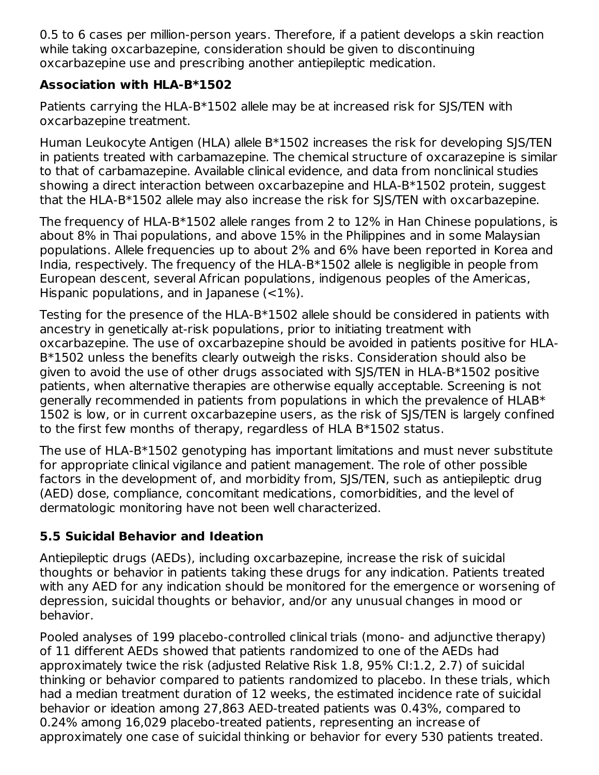0.5 to 6 cases per million-person years. Therefore, if a patient develops a skin reaction while taking oxcarbazepine, consideration should be given to discontinuing oxcarbazepine use and prescribing another antiepileptic medication.

## **Association with HLA-B\*1502**

Patients carrying the HLA-B\*1502 allele may be at increased risk for SJS/TEN with oxcarbazepine treatment.

Human Leukocyte Antigen (HLA) allele B\*1502 increases the risk for developing SJS/TEN in patients treated with carbamazepine. The chemical structure of oxcarazepine is similar to that of carbamazepine. Available clinical evidence, and data from nonclinical studies showing a direct interaction between oxcarbazepine and HLA-B\*1502 protein, suggest that the HLA-B\*1502 allele may also increase the risk for SJS/TEN with oxcarbazepine.

The frequency of HLA-B\*1502 allele ranges from 2 to 12% in Han Chinese populations, is about 8% in Thai populations, and above 15% in the Philippines and in some Malaysian populations. Allele frequencies up to about 2% and 6% have been reported in Korea and India, respectively. The frequency of the HLA-B\*1502 allele is negligible in people from European descent, several African populations, indigenous peoples of the Americas, Hispanic populations, and in Japanese  $($ 

Testing for the presence of the HLA-B\*1502 allele should be considered in patients with ancestry in genetically at-risk populations, prior to initiating treatment with oxcarbazepine. The use of oxcarbazepine should be avoided in patients positive for HLA-B\*1502 unless the benefits clearly outweigh the risks. Consideration should also be given to avoid the use of other drugs associated with SJS/TEN in HLA-B\*1502 positive patients, when alternative therapies are otherwise equally acceptable. Screening is not generally recommended in patients from populations in which the prevalence of HLAB\* 1502 is low, or in current oxcarbazepine users, as the risk of SJS/TEN is largely confined to the first few months of therapy, regardless of HLA B\*1502 status.

The use of HLA-B\*1502 genotyping has important limitations and must never substitute for appropriate clinical vigilance and patient management. The role of other possible factors in the development of, and morbidity from, SJS/TEN, such as antiepileptic drug (AED) dose, compliance, concomitant medications, comorbidities, and the level of dermatologic monitoring have not been well characterized.

## **5.5 Suicidal Behavior and Ideation**

Antiepileptic drugs (AEDs), including oxcarbazepine, increase the risk of suicidal thoughts or behavior in patients taking these drugs for any indication. Patients treated with any AED for any indication should be monitored for the emergence or worsening of depression, suicidal thoughts or behavior, and/or any unusual changes in mood or behavior.

Pooled analyses of 199 placebo-controlled clinical trials (mono- and adjunctive therapy) of 11 different AEDs showed that patients randomized to one of the AEDs had approximately twice the risk (adjusted Relative Risk 1.8, 95% CI:1.2, 2.7) of suicidal thinking or behavior compared to patients randomized to placebo. In these trials, which had a median treatment duration of 12 weeks, the estimated incidence rate of suicidal behavior or ideation among 27,863 AED-treated patients was 0.43%, compared to 0.24% among 16,029 placebo-treated patients, representing an increase of approximately one case of suicidal thinking or behavior for every 530 patients treated.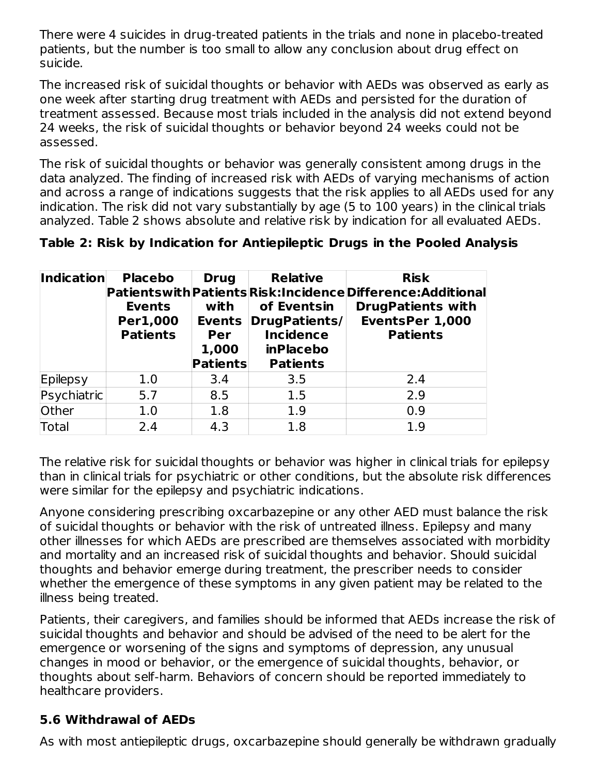There were 4 suicides in drug-treated patients in the trials and none in placebo-treated patients, but the number is too small to allow any conclusion about drug effect on suicide.

The increased risk of suicidal thoughts or behavior with AEDs was observed as early as one week after starting drug treatment with AEDs and persisted for the duration of treatment assessed. Because most trials included in the analysis did not extend beyond 24 weeks, the risk of suicidal thoughts or behavior beyond 24 weeks could not be assessed.

The risk of suicidal thoughts or behavior was generally consistent among drugs in the data analyzed. The finding of increased risk with AEDs of varying mechanisms of action and across a range of indications suggests that the risk applies to all AEDs used for any indication. The risk did not vary substantially by age (5 to 100 years) in the clinical trials analyzed. Table 2 shows absolute and relative risk by indication for all evaluated AEDs.

**Table 2: Risk by Indication for Antiepileptic Drugs in the Pooled Analysis**

| <b>Indication</b> | <b>Placebo</b><br><b>Events</b><br>Per1,000<br><b>Patients</b> | <b>Drug</b><br>with<br><b>Events</b><br>Per<br>1,000<br><b>Patients</b> | <b>Relative</b><br>of Eventsin<br>DrugPatients/<br><b>Incidence</b><br><b>inPlacebo</b><br><b>Patients</b> | <b>Risk</b><br>Patientswith Patients Risk: Incidence Difference: Additional<br><b>DrugPatients with</b><br><b>EventsPer 1,000</b><br><b>Patients</b> |
|-------------------|----------------------------------------------------------------|-------------------------------------------------------------------------|------------------------------------------------------------------------------------------------------------|------------------------------------------------------------------------------------------------------------------------------------------------------|
| Epilepsy          | 1.0                                                            | 3.4                                                                     | 3.5                                                                                                        | 2.4                                                                                                                                                  |
| Psychiatric       | 5.7                                                            | 8.5                                                                     | 1.5                                                                                                        | 2.9                                                                                                                                                  |
| Other             | 1.0                                                            | 1.8                                                                     | 1.9                                                                                                        | 0.9                                                                                                                                                  |
| Total             | 2.4                                                            | 4.3                                                                     | 1.8                                                                                                        | 1.9                                                                                                                                                  |

The relative risk for suicidal thoughts or behavior was higher in clinical trials for epilepsy than in clinical trials for psychiatric or other conditions, but the absolute risk differences were similar for the epilepsy and psychiatric indications.

Anyone considering prescribing oxcarbazepine or any other AED must balance the risk of suicidal thoughts or behavior with the risk of untreated illness. Epilepsy and many other illnesses for which AEDs are prescribed are themselves associated with morbidity and mortality and an increased risk of suicidal thoughts and behavior. Should suicidal thoughts and behavior emerge during treatment, the prescriber needs to consider whether the emergence of these symptoms in any given patient may be related to the illness being treated.

Patients, their caregivers, and families should be informed that AEDs increase the risk of suicidal thoughts and behavior and should be advised of the need to be alert for the emergence or worsening of the signs and symptoms of depression, any unusual changes in mood or behavior, or the emergence of suicidal thoughts, behavior, or thoughts about self-harm. Behaviors of concern should be reported immediately to healthcare providers.

## **5.6 Withdrawal of AEDs**

As with most antiepileptic drugs, oxcarbazepine should generally be withdrawn gradually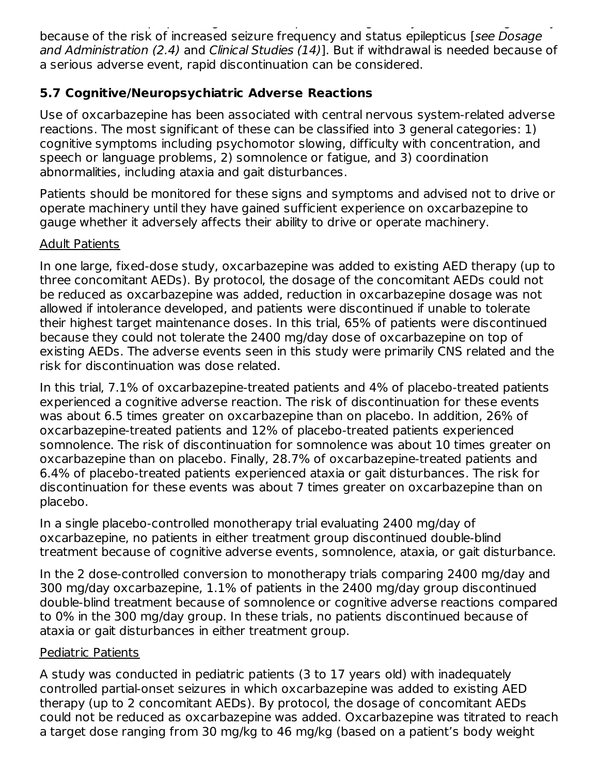As with most antiepileptic drugs, oxcarbazepine should generally be withdrawn gradually because of the risk of increased seizure frequency and status epilepticus [see Dosage and Administration (2.4) and Clinical Studies (14)]. But if withdrawal is needed because of a serious adverse event, rapid discontinuation can be considered.

## **5.7 Cognitive/Neuropsychiatric Adverse Reactions**

Use of oxcarbazepine has been associated with central nervous system-related adverse reactions. The most significant of these can be classified into 3 general categories: 1) cognitive symptoms including psychomotor slowing, difficulty with concentration, and speech or language problems, 2) somnolence or fatigue, and 3) coordination abnormalities, including ataxia and gait disturbances.

Patients should be monitored for these signs and symptoms and advised not to drive or operate machinery until they have gained sufficient experience on oxcarbazepine to gauge whether it adversely affects their ability to drive or operate machinery.

## Adult Patients

In one large, fixed-dose study, oxcarbazepine was added to existing AED therapy (up to three concomitant AEDs). By protocol, the dosage of the concomitant AEDs could not be reduced as oxcarbazepine was added, reduction in oxcarbazepine dosage was not allowed if intolerance developed, and patients were discontinued if unable to tolerate their highest target maintenance doses. In this trial, 65% of patients were discontinued because they could not tolerate the 2400 mg/day dose of oxcarbazepine on top of existing AEDs. The adverse events seen in this study were primarily CNS related and the risk for discontinuation was dose related.

In this trial, 7.1% of oxcarbazepine-treated patients and 4% of placebo-treated patients experienced a cognitive adverse reaction. The risk of discontinuation for these events was about 6.5 times greater on oxcarbazepine than on placebo. In addition, 26% of oxcarbazepine-treated patients and 12% of placebo-treated patients experienced somnolence. The risk of discontinuation for somnolence was about 10 times greater on oxcarbazepine than on placebo. Finally, 28.7% of oxcarbazepine-treated patients and 6.4% of placebo-treated patients experienced ataxia or gait disturbances. The risk for discontinuation for these events was about 7 times greater on oxcarbazepine than on placebo.

In a single placebo-controlled monotherapy trial evaluating 2400 mg/day of oxcarbazepine, no patients in either treatment group discontinued double-blind treatment because of cognitive adverse events, somnolence, ataxia, or gait disturbance.

In the 2 dose-controlled conversion to monotherapy trials comparing 2400 mg/day and 300 mg/day oxcarbazepine, 1.1% of patients in the 2400 mg/day group discontinued double-blind treatment because of somnolence or cognitive adverse reactions compared to 0% in the 300 mg/day group. In these trials, no patients discontinued because of ataxia or gait disturbances in either treatment group.

### Pediatric Patients

A study was conducted in pediatric patients (3 to 17 years old) with inadequately controlled partial-onset seizures in which oxcarbazepine was added to existing AED therapy (up to 2 concomitant AEDs). By protocol, the dosage of concomitant AEDs could not be reduced as oxcarbazepine was added. Oxcarbazepine was titrated to reach a target dose ranging from 30 mg/kg to 46 mg/kg (based on a patient's body weight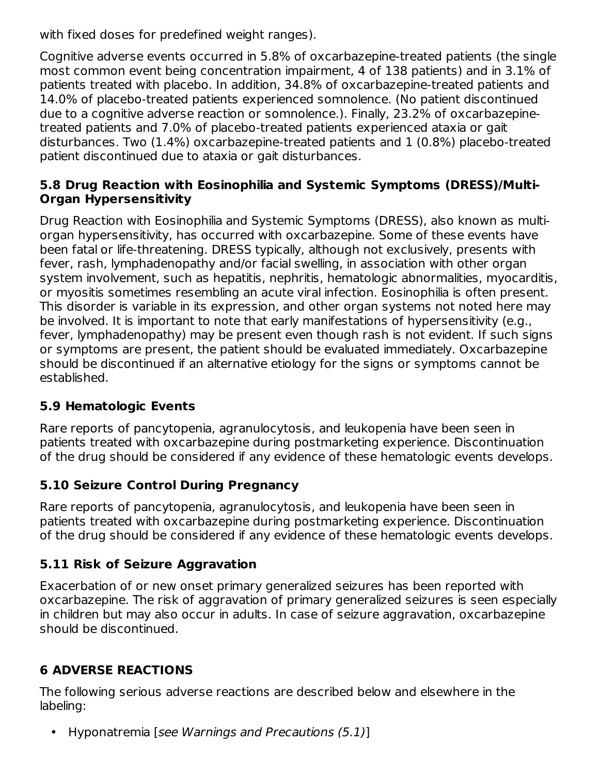with fixed doses for predefined weight ranges).

Cognitive adverse events occurred in 5.8% of oxcarbazepine-treated patients (the single most common event being concentration impairment, 4 of 138 patients) and in 3.1% of patients treated with placebo. In addition, 34.8% of oxcarbazepine-treated patients and 14.0% of placebo-treated patients experienced somnolence. (No patient discontinued due to a cognitive adverse reaction or somnolence.). Finally, 23.2% of oxcarbazepinetreated patients and 7.0% of placebo-treated patients experienced ataxia or gait disturbances. Two (1.4%) oxcarbazepine-treated patients and 1 (0.8%) placebo-treated patient discontinued due to ataxia or gait disturbances.

### **5.8 Drug Reaction with Eosinophilia and Systemic Symptoms (DRESS)/Multi-Organ Hypersensitivity**

Drug Reaction with Eosinophilia and Systemic Symptoms (DRESS), also known as multiorgan hypersensitivity, has occurred with oxcarbazepine. Some of these events have been fatal or life-threatening. DRESS typically, although not exclusively, presents with fever, rash, lymphadenopathy and/or facial swelling, in association with other organ system involvement, such as hepatitis, nephritis, hematologic abnormalities, myocarditis, or myositis sometimes resembling an acute viral infection. Eosinophilia is often present. This disorder is variable in its expression, and other organ systems not noted here may be involved. It is important to note that early manifestations of hypersensitivity (e.g., fever, lymphadenopathy) may be present even though rash is not evident. If such signs or symptoms are present, the patient should be evaluated immediately. Oxcarbazepine should be discontinued if an alternative etiology for the signs or symptoms cannot be established.

## **5.9 Hematologic Events**

Rare reports of pancytopenia, agranulocytosis, and leukopenia have been seen in patients treated with oxcarbazepine during postmarketing experience. Discontinuation of the drug should be considered if any evidence of these hematologic events develops.

## **5.10 Seizure Control During Pregnancy**

Rare reports of pancytopenia, agranulocytosis, and leukopenia have been seen in patients treated with oxcarbazepine during postmarketing experience. Discontinuation of the drug should be considered if any evidence of these hematologic events develops.

## **5.11 Risk of Seizure Aggravation**

Exacerbation of or new onset primary generalized seizures has been reported with oxcarbazepine. The risk of aggravation of primary generalized seizures is seen especially in children but may also occur in adults. In case of seizure aggravation, oxcarbazepine should be discontinued.

## **6 ADVERSE REACTIONS**

The following serious adverse reactions are described below and elsewhere in the labeling:

• Hyponatremia [see Warnings and Precautions (5.1)]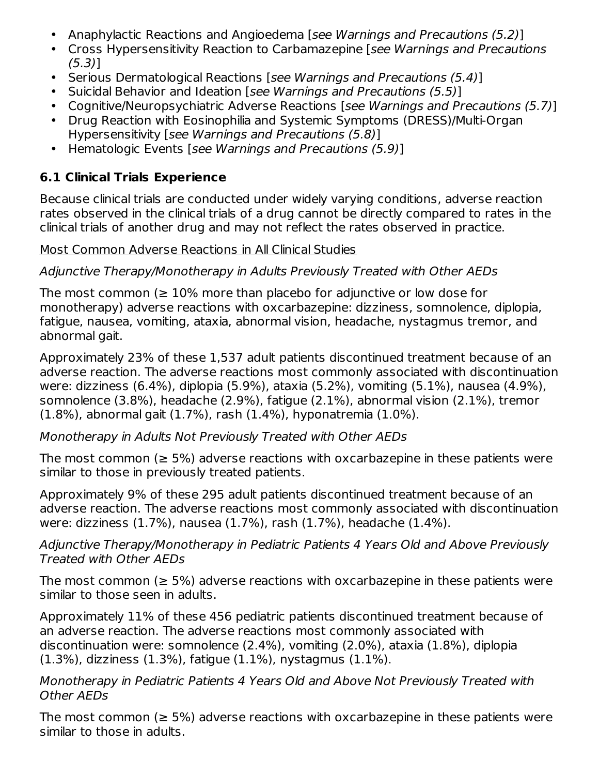- Anaphylactic Reactions and Angioedema [see Warnings and Precautions (5.2)]
- Cross Hypersensitivity Reaction to Carbamazepine [see Warnings and Precautions (5.3)]
- Serious Dermatological Reactions [see Warnings and Precautions (5.4)]
- Suicidal Behavior and Ideation [see Warnings and Precautions (5.5)]
- Cognitive/Neuropsychiatric Adverse Reactions [see Warnings and Precautions (5.7)]
- Drug Reaction with Eosinophilia and Systemic Symptoms (DRESS)/Multi-Organ Hypersensitivity [see Warnings and Precautions (5.8)]
- Hematologic Events [see Warnings and Precautions (5.9)]

## **6.1 Clinical Trials Experience**

Because clinical trials are conducted under widely varying conditions, adverse reaction rates observed in the clinical trials of a drug cannot be directly compared to rates in the clinical trials of another drug and may not reflect the rates observed in practice.

### Most Common Adverse Reactions in All Clinical Studies

### Adjunctive Therapy/Monotherapy in Adults Previously Treated with Other AEDs

The most common ( $\geq 10\%$  more than placebo for adjunctive or low dose for monotherapy) adverse reactions with oxcarbazepine: dizziness, somnolence, diplopia, fatigue, nausea, vomiting, ataxia, abnormal vision, headache, nystagmus tremor, and abnormal gait.

Approximately 23% of these 1,537 adult patients discontinued treatment because of an adverse reaction. The adverse reactions most commonly associated with discontinuation were: dizziness (6.4%), diplopia (5.9%), ataxia (5.2%), vomiting (5.1%), nausea (4.9%), somnolence (3.8%), headache (2.9%), fatigue (2.1%), abnormal vision (2.1%), tremor (1.8%), abnormal gait (1.7%), rash (1.4%), hyponatremia (1.0%).

### Monotherapy in Adults Not Previously Treated with Other AEDs

The most common ( $\geq$  5%) adverse reactions with oxcarbazepine in these patients were similar to those in previously treated patients.

Approximately 9% of these 295 adult patients discontinued treatment because of an adverse reaction. The adverse reactions most commonly associated with discontinuation were: dizziness (1.7%), nausea (1.7%), rash (1.7%), headache (1.4%).

### Adjunctive Therapy/Monotherapy in Pediatric Patients 4 Years Old and Above Previously Treated with Other AEDs

The most common ( $\geq$  5%) adverse reactions with oxcarbazepine in these patients were similar to those seen in adults.

Approximately 11% of these 456 pediatric patients discontinued treatment because of an adverse reaction. The adverse reactions most commonly associated with discontinuation were: somnolence (2.4%), vomiting (2.0%), ataxia (1.8%), diplopia (1.3%), dizziness (1.3%), fatigue (1.1%), nystagmus (1.1%).

### Monotherapy in Pediatric Patients 4 Years Old and Above Not Previously Treated with Other AEDs

The most common ( $\geq$  5%) adverse reactions with oxcarbazepine in these patients were similar to those in adults.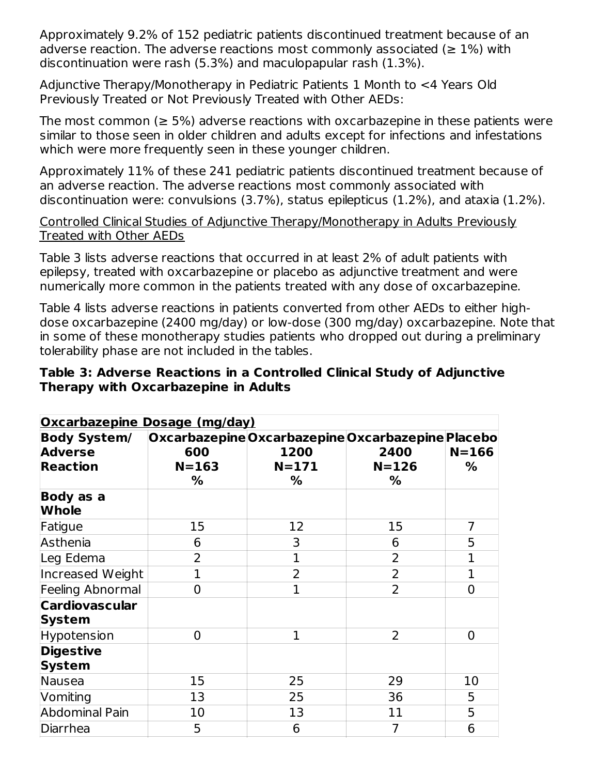Approximately 9.2% of 152 pediatric patients discontinued treatment because of an adverse reaction. The adverse reactions most commonly associated ( $\geq 1\%$ ) with discontinuation were rash (5.3%) and maculopapular rash (1.3%).

Adjunctive Therapy/Monotherapy in Pediatric Patients 1 Month to <4 Years Old Previously Treated or Not Previously Treated with Other AEDs:

The most common ( $\geq$  5%) adverse reactions with oxcarbazepine in these patients were similar to those seen in older children and adults except for infections and infestations which were more frequently seen in these younger children.

Approximately 11% of these 241 pediatric patients discontinued treatment because of an adverse reaction. The adverse reactions most commonly associated with discontinuation were: convulsions (3.7%), status epilepticus (1.2%), and ataxia (1.2%).

### Controlled Clinical Studies of Adjunctive Therapy/Monotherapy in Adults Previously Treated with Other AEDs

Table 3 lists adverse reactions that occurred in at least 2% of adult patients with epilepsy, treated with oxcarbazepine or placebo as adjunctive treatment and were numerically more common in the patients treated with any dose of oxcarbazepine.

Table 4 lists adverse reactions in patients converted from other AEDs to either highdose oxcarbazepine (2400 mg/day) or low-dose (300 mg/day) oxcarbazepine. Note that in some of these monotherapy studies patients who dropped out during a preliminary tolerability phase are not included in the tables.

#### **Table 3: Adverse Reactions in a Controlled Clinical Study of Adjunctive Therapy with Oxcarbazepine in Adults**

| <b>Oxcarbazepine Dosage (mg/day)</b>                     |                       |                        |                                                                             |                |
|----------------------------------------------------------|-----------------------|------------------------|-----------------------------------------------------------------------------|----------------|
| <b>Body System/</b><br><b>Adverse</b><br><b>Reaction</b> | 600<br>$N = 163$<br>% | 1200<br>$N = 171$<br>% | Oxcarbazepine Oxcarbazepine Oxcarbazepine Placebo<br>2400<br>$N = 126$<br>% | $N = 166$<br>% |
| Body as a<br><b>Whole</b>                                |                       |                        |                                                                             |                |
| Fatigue                                                  | 15                    | 12                     | 15                                                                          | 7              |
| Asthenia                                                 | 6                     | 3                      | 6                                                                           | 5              |
| Leg Edema                                                | 2                     | 1                      | 2                                                                           | $\overline{1}$ |
| Increased Weight                                         | 1                     | $\overline{2}$         | $\overline{2}$                                                              | $\mathbf{1}$   |
| Feeling Abnormal                                         | $\Omega$              | $\mathbf{1}$           | $\overline{2}$                                                              | $\overline{0}$ |
| <b>Cardiovascular</b><br>System                          |                       |                        |                                                                             |                |
| Hypotension                                              | $\Omega$              | 1                      | $\overline{2}$                                                              | $\overline{0}$ |
| <b>Digestive</b><br><b>System</b>                        |                       |                        |                                                                             |                |
| Nausea                                                   | 15                    | 25                     | 29                                                                          | 10             |
| Vomiting                                                 | 13                    | 25                     | 36                                                                          | 5              |
| <b>Abdominal Pain</b>                                    | 10                    | 13                     | 11                                                                          | 5              |
| Diarrhea                                                 | 5                     | 6                      | $\overline{7}$                                                              | 6              |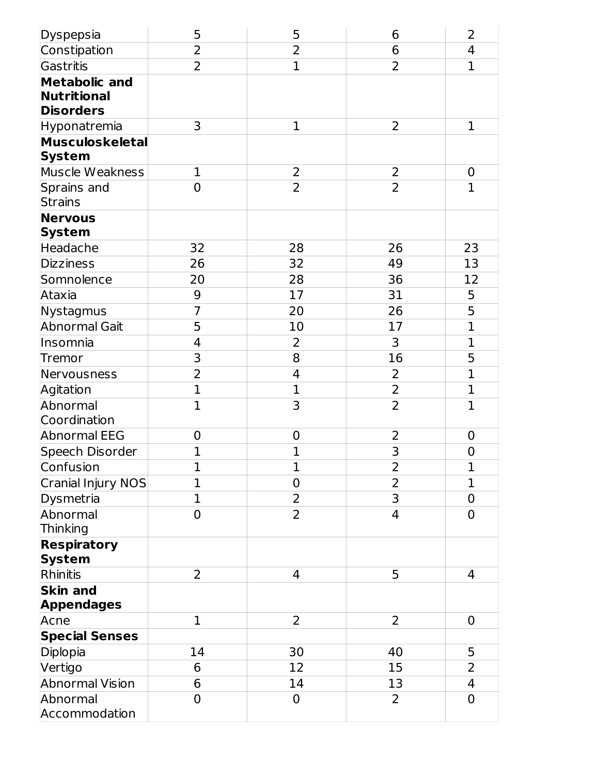| Dyspepsia                 | 5              | 5              | 6              | $\overline{2}$ |
|---------------------------|----------------|----------------|----------------|----------------|
| Constipation              | $\overline{2}$ | $\overline{2}$ | 6              | 4              |
| Gastritis                 | $\overline{2}$ | $\mathbf{1}$   | $\overline{2}$ | $\mathbf{1}$   |
| <b>Metabolic and</b>      |                |                |                |                |
| <b>Nutritional</b>        |                |                |                |                |
| <b>Disorders</b>          |                |                |                |                |
| Hyponatremia              | 3              | $\mathbf 1$    | 2              | $\mathbf 1$    |
| <b>Musculoskeletal</b>    |                |                |                |                |
| <b>System</b>             |                |                |                |                |
| Muscle Weakness           | $\mathbf{1}$   | $\overline{2}$ | 2              | $\mathbf 0$    |
| Sprains and               | $\overline{0}$ | $\overline{2}$ | $\overline{2}$ | $\mathbf{1}$   |
| Strains<br><b>Nervous</b> |                |                |                |                |
| <b>System</b>             |                |                |                |                |
| Headache                  | 32             | 28             | 26             | 23             |
| <b>Dizziness</b>          | 26             | 32             | 49             | 13             |
| Somnolence                | 20             | 28             | 36             | 12             |
| Ataxia                    | 9              | 17             | 31             | 5              |
| Nystagmus                 | $\overline{7}$ | 20             | 26             | $\overline{5}$ |
| <b>Abnormal Gait</b>      | 5              | 10             | 17             | $\mathbf{1}$   |
| Insomnia                  | $\overline{4}$ | 2              | 3              | $\mathbf{1}$   |
| <b>Tremor</b>             | 3              | $\overline{8}$ | 16             | 5              |
| Nervousness               | $\overline{2}$ | 4              | $\overline{2}$ | $\overline{1}$ |
| Agitation                 | $\overline{1}$ | $\mathbf{1}$   | $\overline{2}$ | $\mathbf{1}$   |
| Abnormal                  | $\mathbf{1}$   | 3              | $\overline{2}$ | $\mathbf{1}$   |
| Coordination              |                |                |                |                |
| <b>Abnormal EEG</b>       | $\mathbf 0$    | $\mathbf 0$    | 2              | $\mathbf 0$    |
| Speech Disorder           | $\overline{1}$ | $\overline{1}$ | 3              | 0              |
| Confusion                 | $\mathbf 1$    | $\mathbf 1$    | $\overline{c}$ | $\mathbf 1$    |
| Cranial Injury NOS        | $\mathbf{1}$   | $\overline{0}$ | $\overline{2}$ | $\mathbf{1}$   |
| Dysmetria                 | 1              | 2              | 3              | 0              |
| Abnormal                  | $\overline{0}$ | 2              | $\overline{4}$ | $\overline{0}$ |
| Thinking                  |                |                |                |                |
| <b>Respiratory</b>        |                |                |                |                |
| <b>System</b>             |                |                |                |                |
| Rhinitis                  | $\overline{2}$ | 4              | 5              | 4              |
| <b>Skin and</b>           |                |                |                |                |
| <b>Appendages</b><br>Acne | $\mathbf{1}$   | $\overline{2}$ | $\overline{2}$ | $\mathbf 0$    |
| <b>Special Senses</b>     |                |                |                |                |
| Diplopia                  | 14             | 30             | 40             | 5              |
| Vertigo                   | 6              | 12             | 15             | $\overline{2}$ |
| <b>Abnormal Vision</b>    | 6              | 14             | 13             | 4              |
| Abnormal                  | $\overline{0}$ | 0              | $\overline{2}$ | $\mathbf 0$    |
| Accommodation             |                |                |                |                |
|                           |                |                |                |                |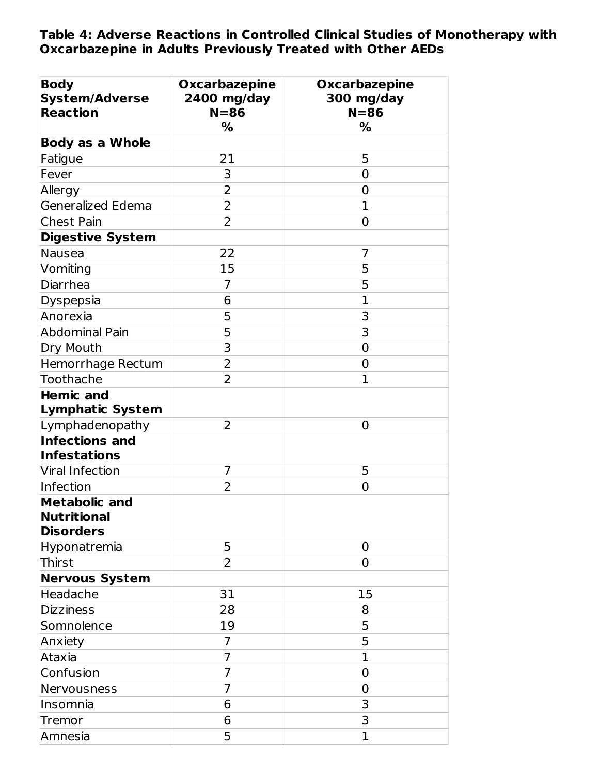**Table 4: Adverse Reactions in Controlled Clinical Studies of Monotherapy with Oxcarbazepine in Adults Previously Treated with Other AEDs**

| <b>Body</b><br><b>System/Adverse</b><br><b>Reaction</b>        | <b>Oxcarbazepine</b><br>2400 mg/day<br>$N = 86$<br>% | <b>Oxcarbazepine</b><br>300 mg/day<br>$N = 86$<br>% |
|----------------------------------------------------------------|------------------------------------------------------|-----------------------------------------------------|
| <b>Body as a Whole</b>                                         |                                                      |                                                     |
| Fatigue                                                        | 21                                                   | 5                                                   |
| Fever                                                          | 3                                                    | 0                                                   |
| Allergy                                                        | $\overline{2}$                                       | $\overline{0}$                                      |
| Generalized Edema                                              | 2                                                    | $\mathbf{1}$                                        |
| <b>Chest Pain</b>                                              | 2                                                    | 0                                                   |
| <b>Digestive System</b>                                        |                                                      |                                                     |
| Nausea                                                         | 22                                                   | 7                                                   |
| Vomiting                                                       | 15                                                   | 5                                                   |
| Diarrhea                                                       | $\overline{7}$                                       | 5                                                   |
| Dyspepsia                                                      | 6                                                    | $\mathbf{1}$                                        |
| Anorexia                                                       | 5                                                    | 3                                                   |
| <b>Abdominal Pain</b>                                          | 5                                                    | 3                                                   |
| Dry Mouth                                                      | 3                                                    | $\mathbf 0$                                         |
| Hemorrhage Rectum                                              | $\overline{2}$                                       | 0                                                   |
| Toothache                                                      | $\overline{2}$                                       | $\mathbf{1}$                                        |
| <b>Hemic and</b><br><b>Lymphatic System</b>                    |                                                      |                                                     |
| Lymphadenopathy                                                | 2                                                    | $\overline{0}$                                      |
| <b>Infections and</b><br><b>Infestations</b>                   |                                                      |                                                     |
| Viral Infection                                                | 7                                                    | 5                                                   |
| Infection                                                      | $\overline{2}$                                       | $\overline{0}$                                      |
| <b>Metabolic and</b><br><b>Nutritional</b><br><b>Disorders</b> |                                                      |                                                     |
| Hyponatremia                                                   | 5                                                    | 0                                                   |
| Thirst                                                         | $\overline{2}$                                       | $\overline{0}$                                      |
| <b>Nervous System</b>                                          |                                                      |                                                     |
| Headache                                                       | 31                                                   | 15                                                  |
| <b>Dizziness</b>                                               | 28                                                   | 8                                                   |
| Somnolence                                                     | 19                                                   | 5                                                   |
| Anxiety                                                        | 7                                                    | 5                                                   |
| Ataxia                                                         | 7                                                    | $\mathbf{1}$                                        |
| Confusion                                                      | $\overline{7}$                                       | $\mathbf 0$                                         |
| Nervousness                                                    | 7                                                    | 0                                                   |
| Insomnia                                                       | 6                                                    | 3                                                   |
| Tremor                                                         | 6                                                    | 3                                                   |
| Amnesia                                                        | 5                                                    | 1                                                   |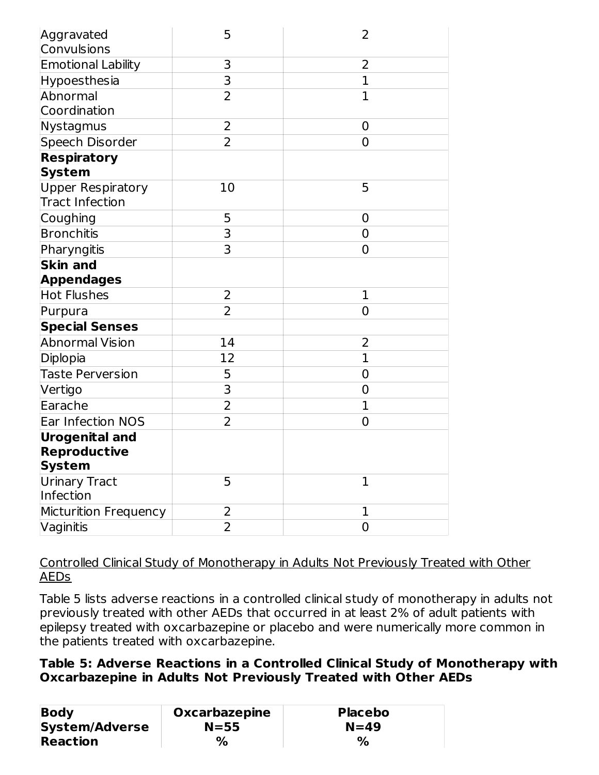| Aggravated<br>Convulsions                          | 5              | 2              |
|----------------------------------------------------|----------------|----------------|
| <b>Emotional Lability</b>                          | 3              | $\overline{2}$ |
| Hypoesthesia                                       | 3              | $\mathbf{1}$   |
| Abnormal                                           | $\overline{2}$ | $\mathbf{1}$   |
| Coordination                                       |                |                |
| Nystagmus                                          | $\overline{2}$ | 0              |
| Speech Disorder                                    | $\overline{2}$ | 0              |
| <b>Respiratory</b>                                 |                |                |
| <b>System</b>                                      |                |                |
| <b>Upper Respiratory</b><br><b>Tract Infection</b> | 10             | 5              |
| Coughing                                           | 5              | 0              |
| <b>Bronchitis</b>                                  | 3              | 0              |
| Pharyngitis                                        | 3              | 0              |
| <b>Skin and</b>                                    |                |                |
| <b>Appendages</b>                                  |                |                |
| <b>Hot Flushes</b>                                 | 2              | $\mathbf{1}$   |
| Purpura                                            | $\overline{2}$ | $\overline{0}$ |
| <b>Special Senses</b>                              |                |                |
| <b>Abnormal Vision</b>                             | 14             | 2              |
| Diplopia                                           | 12             | $\mathbf{1}$   |
| <b>Taste Perversion</b>                            | 5              | 0              |
| Vertigo                                            | 3              | 0              |
| Earache                                            | $\overline{2}$ | $\overline{1}$ |
| Ear Infection NOS                                  | $\overline{2}$ | 0              |
| <b>Urogenital and</b>                              |                |                |
| <b>Reproductive</b>                                |                |                |
| System                                             |                |                |
| Urinary Tract                                      | 5              | $\mathbf{1}$   |
| Infection                                          |                |                |
| Micturition Frequency                              | 2              | 1              |
| Vaginitis                                          | 2              | 0              |

Controlled Clinical Study of Monotherapy in Adults Not Previously Treated with Other AEDs

Table 5 lists adverse reactions in a controlled clinical study of monotherapy in adults not previously treated with other AEDs that occurred in at least 2% of adult patients with epilepsy treated with oxcarbazepine or placebo and were numerically more common in the patients treated with oxcarbazepine.

### **Table 5: Adverse Reactions in a Controlled Clinical Study of Monotherapy with Oxcarbazepine in Adults Not Previously Treated with Other AEDs**

| <b>Body</b>           | Oxcarbazepine | Placebo |
|-----------------------|---------------|---------|
| <b>System/Adverse</b> | $N = 55$      | $N=49$  |
| <b>Reaction</b>       | $\%$          | %       |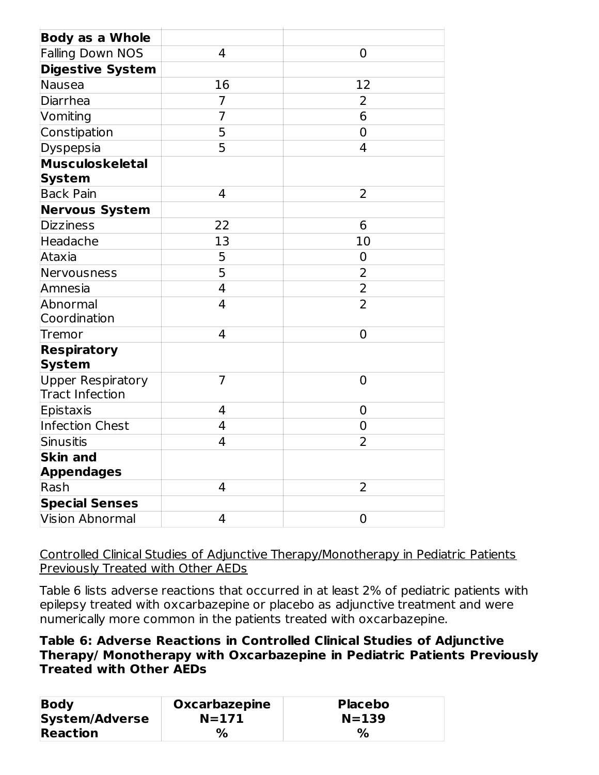| <b>Body as a Whole</b>                             |                |                |
|----------------------------------------------------|----------------|----------------|
| <b>Falling Down NOS</b>                            | 4              | 0              |
| <b>Digestive System</b>                            |                |                |
| <b>Nausea</b>                                      | 16             | 12             |
| Diarrhea                                           | $\overline{7}$ | 2              |
| Vomiting                                           | $\overline{7}$ | 6              |
| Constipation                                       | 5              | $\overline{0}$ |
| Dyspepsia                                          | 5              | $\overline{4}$ |
| <b>Musculoskeletal</b>                             |                |                |
| <b>System</b>                                      |                |                |
| <b>Back Pain</b>                                   | 4              | 2              |
| <b>Nervous System</b>                              |                |                |
| <b>Dizziness</b>                                   | 22             | 6              |
| Headache                                           | 13             | 10             |
| Ataxia                                             | 5              | 0              |
| Nervousness                                        | 5              | $\overline{2}$ |
| Amnesia                                            | $\overline{4}$ | $\overline{2}$ |
| Abnormal                                           | $\overline{4}$ | $\overline{2}$ |
| Coordination                                       |                |                |
| Tremor                                             | $\overline{4}$ | $\overline{0}$ |
| <b>Respiratory</b>                                 |                |                |
| <b>System</b>                                      |                |                |
| <b>Upper Respiratory</b><br><b>Tract Infection</b> | $\overline{7}$ | $\overline{0}$ |
| Epistaxis                                          | 4              | 0              |
| <b>Infection Chest</b>                             | $\overline{4}$ | $\overline{0}$ |
| <b>Sinusitis</b>                                   | $\overline{4}$ | $\overline{2}$ |
| <b>Skin and</b>                                    |                |                |
| <b>Appendages</b>                                  |                |                |
| Rash                                               | 4              | 2              |
| <b>Special Senses</b>                              |                |                |
| <b>Vision Abnormal</b>                             | 4              | 0              |
|                                                    |                |                |

Controlled Clinical Studies of Adjunctive Therapy/Monotherapy in Pediatric Patients Previously Treated with Other AEDs

Table 6 lists adverse reactions that occurred in at least 2% of pediatric patients with epilepsy treated with oxcarbazepine or placebo as adjunctive treatment and were numerically more common in the patients treated with oxcarbazepine.

### **Table 6: Adverse Reactions in Controlled Clinical Studies of Adjunctive Therapy/ Monotherapy with Oxcarbazepine in Pediatric Patients Previously Treated with Other AEDs**

| <b>Body</b>           | <b>Oxcarbazepine</b> | <b>Placebo</b> |
|-----------------------|----------------------|----------------|
| <b>System/Adverse</b> | $N = 171$            | $N = 139$      |
| <b>Reaction</b>       | $\%$                 | $\%$           |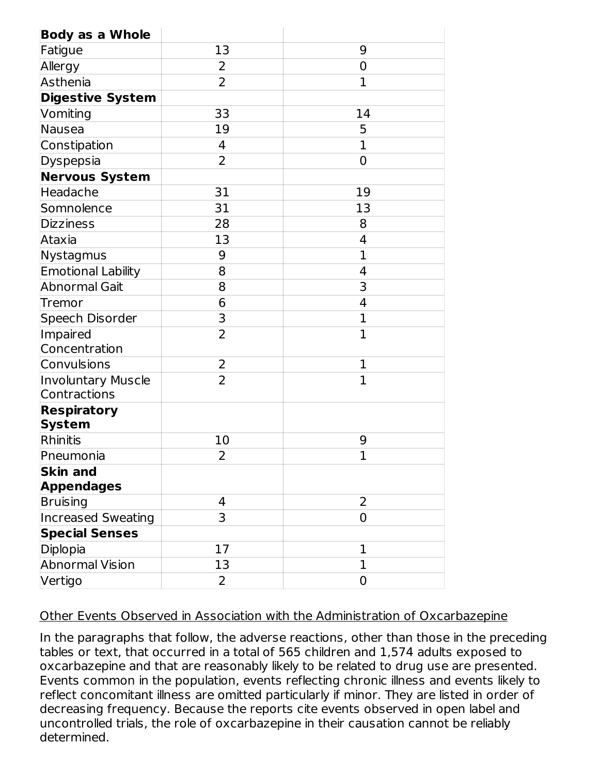| <b>Body as a Whole</b>              |                |                |
|-------------------------------------|----------------|----------------|
| Fatigue                             | 13             | 9              |
| Allergy                             | 2              | 0              |
| Asthenia                            | $\overline{2}$ | $\mathbf{1}$   |
| <b>Digestive System</b>             |                |                |
| Vomiting                            | 33             | 14             |
| Nausea                              | 19             | 5              |
| Constipation                        | 4              | $\overline{1}$ |
| Dyspepsia                           | $\overline{2}$ | $\overline{0}$ |
| <b>Nervous System</b>               |                |                |
| Headache                            | 31             | 19             |
| Somnolence                          | 31             | 13             |
| <b>Dizziness</b>                    | 28             | 8              |
| Ataxia                              | 13             | 4              |
| Nystagmus                           | 9              | 1              |
| <b>Emotional Lability</b>           | 8              | 4              |
| <b>Abnormal Gait</b>                | 8              | 3              |
| Tremor                              | 6              | 4              |
| Speech Disorder                     | 3              | 1              |
| Impaired                            | $\overline{2}$ | $\overline{1}$ |
| Concentration                       |                |                |
| Convulsions                         | $\overline{2}$ | 1              |
| Involuntary Muscle<br>Contractions  | $\overline{2}$ | 1              |
| <b>Respiratory</b><br><b>System</b> |                |                |
| Rhinitis                            | 10             | 9              |
| Pneumonia                           | 2              | $\overline{1}$ |
| <b>Skin and</b>                     |                |                |
| <b>Appendages</b>                   |                |                |
| Bruising                            | 4              | $\overline{2}$ |
| <b>Increased Sweating</b>           | 3              | 0              |
| <b>Special Senses</b>               |                |                |
| Diplopia                            | 17             | 1              |
| <b>Abnormal Vision</b>              | 13             | 1              |
| Vertigo                             | 2              | 0              |

#### Other Events Observed in Association with the Administration of Oxcarbazepine

In the paragraphs that follow, the adverse reactions, other than those in the preceding tables or text, that occurred in a total of 565 children and 1,574 adults exposed to oxcarbazepine and that are reasonably likely to be related to drug use are presented. Events common in the population, events reflecting chronic illness and events likely to reflect concomitant illness are omitted particularly if minor. They are listed in order of decreasing frequency. Because the reports cite events observed in open label and uncontrolled trials, the role of oxcarbazepine in their causation cannot be reliably determined.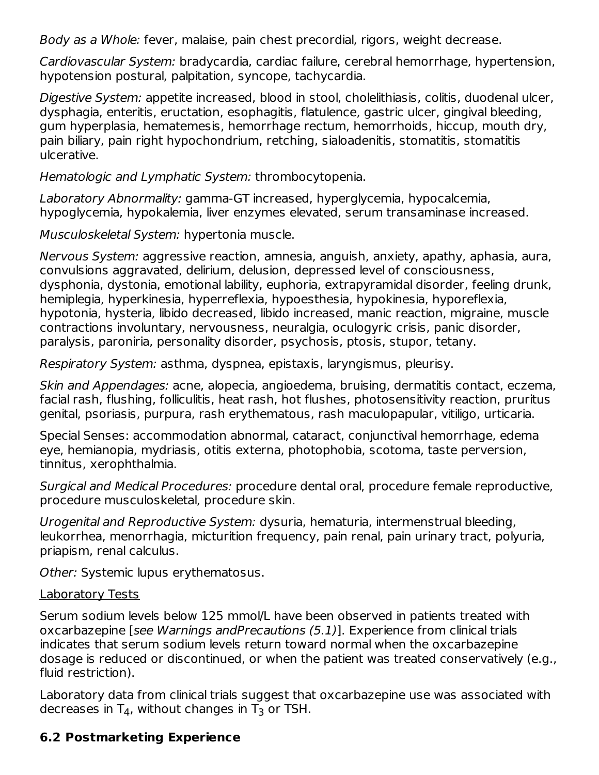Body as a Whole: fever, malaise, pain chest precordial, rigors, weight decrease.

Cardiovascular System: bradycardia, cardiac failure, cerebral hemorrhage, hypertension, hypotension postural, palpitation, syncope, tachycardia.

Digestive System: appetite increased, blood in stool, cholelithiasis, colitis, duodenal ulcer, dysphagia, enteritis, eructation, esophagitis, flatulence, gastric ulcer, gingival bleeding, gum hyperplasia, hematemesis, hemorrhage rectum, hemorrhoids, hiccup, mouth dry, pain biliary, pain right hypochondrium, retching, sialoadenitis, stomatitis, stomatitis ulcerative.

Hematologic and Lymphatic System: thrombocytopenia.

Laboratory Abnormality: gamma-GT increased, hyperglycemia, hypocalcemia, hypoglycemia, hypokalemia, liver enzymes elevated, serum transaminase increased.

Musculoskeletal System: hypertonia muscle.

Nervous System: aggressive reaction, amnesia, anguish, anxiety, apathy, aphasia, aura, convulsions aggravated, delirium, delusion, depressed level of consciousness, dysphonia, dystonia, emotional lability, euphoria, extrapyramidal disorder, feeling drunk, hemiplegia, hyperkinesia, hyperreflexia, hypoesthesia, hypokinesia, hyporeflexia, hypotonia, hysteria, libido decreased, libido increased, manic reaction, migraine, muscle contractions involuntary, nervousness, neuralgia, oculogyric crisis, panic disorder, paralysis, paroniria, personality disorder, psychosis, ptosis, stupor, tetany.

Respiratory System: asthma, dyspnea, epistaxis, laryngismus, pleurisy.

Skin and Appendages: acne, alopecia, angioedema, bruising, dermatitis contact, eczema, facial rash, flushing, folliculitis, heat rash, hot flushes, photosensitivity reaction, pruritus genital, psoriasis, purpura, rash erythematous, rash maculopapular, vitiligo, urticaria.

Special Senses: accommodation abnormal, cataract, conjunctival hemorrhage, edema eye, hemianopia, mydriasis, otitis externa, photophobia, scotoma, taste perversion, tinnitus, xerophthalmia.

Surgical and Medical Procedures: procedure dental oral, procedure female reproductive, procedure musculoskeletal, procedure skin.

Urogenital and Reproductive System: dysuria, hematuria, intermenstrual bleeding, leukorrhea, menorrhagia, micturition frequency, pain renal, pain urinary tract, polyuria, priapism, renal calculus.

Other: Systemic lupus erythematosus.

### Laboratory Tests

Serum sodium levels below 125 mmol/L have been observed in patients treated with oxcarbazepine [see Warnings andPrecautions (5.1)]. Experience from clinical trials indicates that serum sodium levels return toward normal when the oxcarbazepine dosage is reduced or discontinued, or when the patient was treated conservatively (e.g., fluid restriction).

Laboratory data from clinical trials suggest that oxcarbazepine use was associated with decreases in T<sub>4</sub>, without changes in T<sub>3</sub> or TSH.

## **6.2 Postmarketing Experience**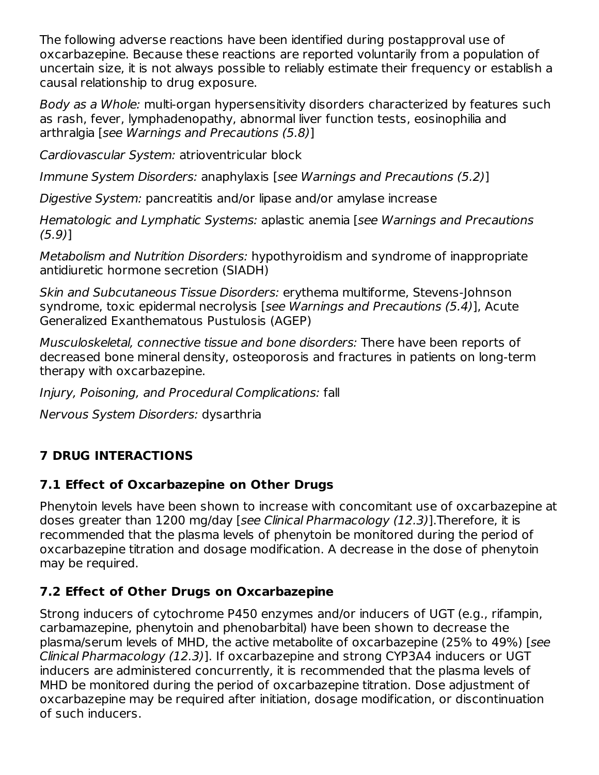The following adverse reactions have been identified during postapproval use of oxcarbazepine. Because these reactions are reported voluntarily from a population of uncertain size, it is not always possible to reliably estimate their frequency or establish a causal relationship to drug exposure.

Body as a Whole: multi-organ hypersensitivity disorders characterized by features such as rash, fever, lymphadenopathy, abnormal liver function tests, eosinophilia and arthralgia [see Warnings and Precautions (5.8)]

Cardiovascular System: atrioventricular block

Immune System Disorders: anaphylaxis [see Warnings and Precautions (5.2)]

Digestive System: pancreatitis and/or lipase and/or amylase increase

Hematologic and Lymphatic Systems: aplastic anemia [see Warnings and Precautions (5.9)]

Metabolism and Nutrition Disorders: hypothyroidism and syndrome of inappropriate antidiuretic hormone secretion (SIADH)

Skin and Subcutaneous Tissue Disorders: erythema multiforme, Stevens-Johnson syndrome, toxic epidermal necrolysis [see Warnings and Precautions (5.4)], Acute Generalized Exanthematous Pustulosis (AGEP)

Musculoskeletal, connective tissue and bone disorders: There have been reports of decreased bone mineral density, osteoporosis and fractures in patients on long-term therapy with oxcarbazepine.

Injury, Poisoning, and Procedural Complications: fall

Nervous System Disorders: dysarthria

# **7 DRUG INTERACTIONS**

## **7.1 Effect of Oxcarbazepine on Other Drugs**

Phenytoin levels have been shown to increase with concomitant use of oxcarbazepine at doses greater than 1200 mg/day [see Clinical Pharmacology (12.3)].Therefore, it is recommended that the plasma levels of phenytoin be monitored during the period of oxcarbazepine titration and dosage modification. A decrease in the dose of phenytoin may be required.

## **7.2 Effect of Other Drugs on Oxcarbazepine**

Strong inducers of cytochrome P450 enzymes and/or inducers of UGT (e.g., rifampin, carbamazepine, phenytoin and phenobarbital) have been shown to decrease the plasma/serum levels of MHD, the active metabolite of oxcarbazepine (25% to 49%) [see Clinical Pharmacology (12.3)]. If oxcarbazepine and strong CYP3A4 inducers or UGT inducers are administered concurrently, it is recommended that the plasma levels of MHD be monitored during the period of oxcarbazepine titration. Dose adjustment of oxcarbazepine may be required after initiation, dosage modification, or discontinuation of such inducers.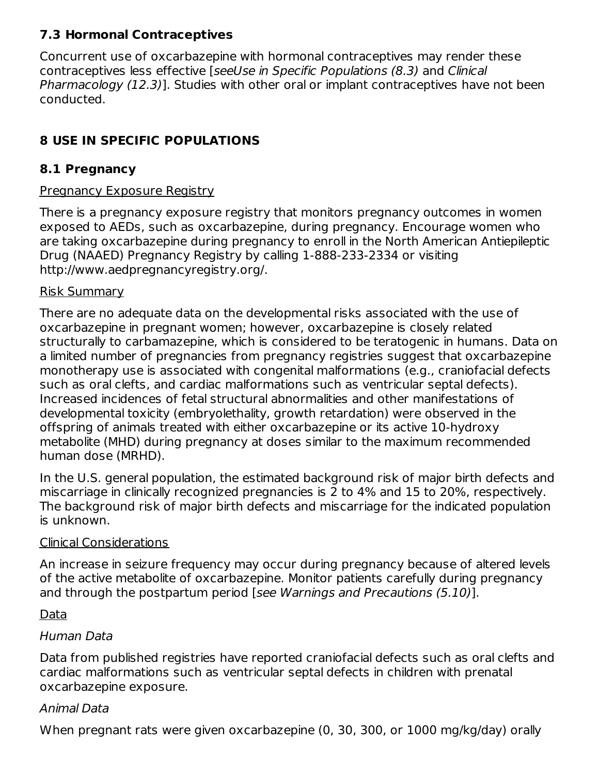## **7.3 Hormonal Contraceptives**

Concurrent use of oxcarbazepine with hormonal contraceptives may render these contraceptives less effective [seeUse in Specific Populations (8.3) and Clinical Pharmacology (12.3)]. Studies with other oral or implant contraceptives have not been conducted.

## **8 USE IN SPECIFIC POPULATIONS**

## **8.1 Pregnancy**

### Pregnancy Exposure Registry

There is a pregnancy exposure registry that monitors pregnancy outcomes in women exposed to AEDs, such as oxcarbazepine, during pregnancy. Encourage women who are taking oxcarbazepine during pregnancy to enroll in the North American Antiepileptic Drug (NAAED) Pregnancy Registry by calling 1-888-233-2334 or visiting http://www.aedpregnancyregistry.org/.

### Risk Summary

There are no adequate data on the developmental risks associated with the use of oxcarbazepine in pregnant women; however, oxcarbazepine is closely related structurally to carbamazepine, which is considered to be teratogenic in humans. Data on a limited number of pregnancies from pregnancy registries suggest that oxcarbazepine monotherapy use is associated with congenital malformations (e.g., craniofacial defects such as oral clefts, and cardiac malformations such as ventricular septal defects). Increased incidences of fetal structural abnormalities and other manifestations of developmental toxicity (embryolethality, growth retardation) were observed in the offspring of animals treated with either oxcarbazepine or its active 10-hydroxy metabolite (MHD) during pregnancy at doses similar to the maximum recommended human dose (MRHD).

In the U.S. general population, the estimated background risk of major birth defects and miscarriage in clinically recognized pregnancies is 2 to 4% and 15 to 20%, respectively. The background risk of major birth defects and miscarriage for the indicated population is unknown.

## Clinical Considerations

An increase in seizure frequency may occur during pregnancy because of altered levels of the active metabolite of oxcarbazepine. Monitor patients carefully during pregnancy and through the postpartum period [see Warnings and Precautions (5.10)].

## Data

## Human Data

Data from published registries have reported craniofacial defects such as oral clefts and cardiac malformations such as ventricular septal defects in children with prenatal oxcarbazepine exposure.

## Animal Data

When pregnant rats were given oxcarbazepine (0, 30, 300, or 1000 mg/kg/day) orally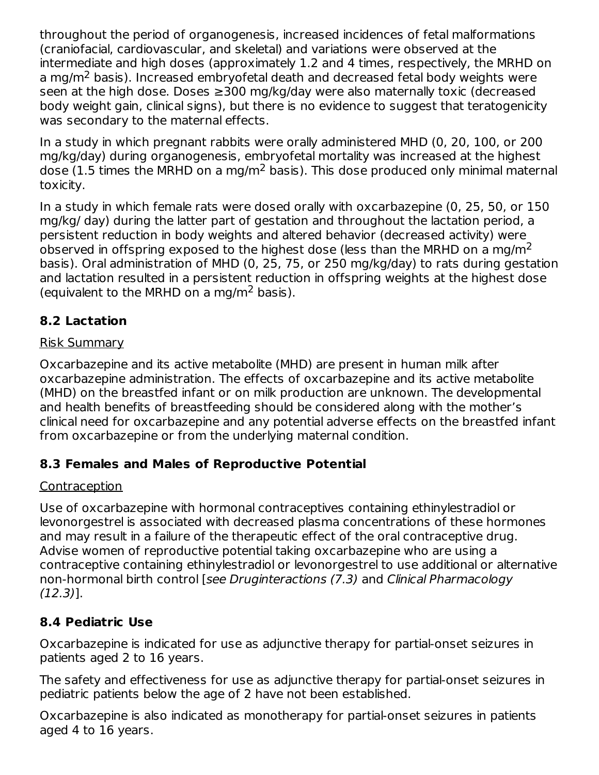throughout the period of organogenesis, increased incidences of fetal malformations (craniofacial, cardiovascular, and skeletal) and variations were observed at the intermediate and high doses (approximately 1.2 and 4 times, respectively, the MRHD on a mg/m<sup>2</sup> basis). Increased embryofetal death and decreased fetal body weights were seen at the high dose. Doses ≥300 mg/kg/day were also maternally toxic (decreased body weight gain, clinical signs), but there is no evidence to suggest that teratogenicity was secondary to the maternal effects.

In a study in which pregnant rabbits were orally administered MHD (0, 20, 100, or 200 mg/kg/day) during organogenesis, embryofetal mortality was increased at the highest dose (1.5 times the MRHD on a mg/m<sup>2</sup> basis). This dose produced only minimal maternal toxicity.

In a study in which female rats were dosed orally with oxcarbazepine (0, 25, 50, or 150 mg/kg/ day) during the latter part of gestation and throughout the lactation period, a persistent reduction in body weights and altered behavior (decreased activity) were observed in offspring exposed to the highest dose (less than the MRHD on a mg/m<sup>2</sup> basis). Oral administration of MHD (0, 25, 75, or 250 mg/kg/day) to rats during gestation and lactation resulted in a persistent reduction in offspring weights at the highest dose (equivalent to the MRHD on a mg/m<sup>2</sup> basis).

## **8.2 Lactation**

### Risk Summary

Oxcarbazepine and its active metabolite (MHD) are present in human milk after oxcarbazepine administration. The effects of oxcarbazepine and its active metabolite (MHD) on the breastfed infant or on milk production are unknown. The developmental and health benefits of breastfeeding should be considered along with the mother's clinical need for oxcarbazepine and any potential adverse effects on the breastfed infant from oxcarbazepine or from the underlying maternal condition.

## **8.3 Females and Males of Reproductive Potential**

## Contraception

Use of oxcarbazepine with hormonal contraceptives containing ethinylestradiol or levonorgestrel is associated with decreased plasma concentrations of these hormones and may result in a failure of the therapeutic effect of the oral contraceptive drug. Advise women of reproductive potential taking oxcarbazepine who are using a contraceptive containing ethinylestradiol or levonorgestrel to use additional or alternative non-hormonal birth control [see Druginteractions (7.3) and Clinical Pharmacology (12.3)].

## **8.4 Pediatric Use**

Oxcarbazepine is indicated for use as adjunctive therapy for partial-onset seizures in patients aged 2 to 16 years.

The safety and effectiveness for use as adjunctive therapy for partial-onset seizures in pediatric patients below the age of 2 have not been established.

Oxcarbazepine is also indicated as monotherapy for partial-onset seizures in patients aged 4 to 16 years.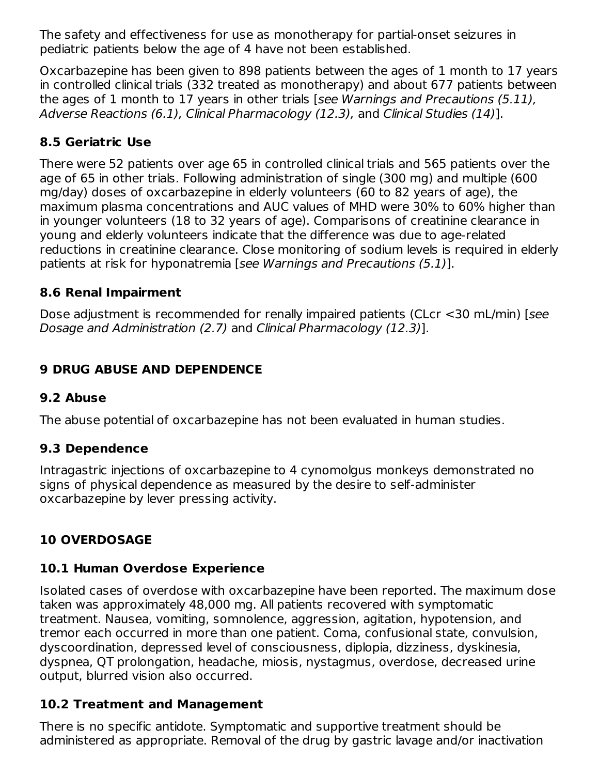The safety and effectiveness for use as monotherapy for partial-onset seizures in pediatric patients below the age of 4 have not been established.

Oxcarbazepine has been given to 898 patients between the ages of 1 month to 17 years in controlled clinical trials (332 treated as monotherapy) and about 677 patients between the ages of 1 month to 17 years in other trials [see Warnings and Precautions (5.11), Adverse Reactions (6.1), Clinical Pharmacology (12.3), and Clinical Studies (14)].

## **8.5 Geriatric Use**

There were 52 patients over age 65 in controlled clinical trials and 565 patients over the age of 65 in other trials. Following administration of single (300 mg) and multiple (600 mg/day) doses of oxcarbazepine in elderly volunteers (60 to 82 years of age), the maximum plasma concentrations and AUC values of MHD were 30% to 60% higher than in younger volunteers (18 to 32 years of age). Comparisons of creatinine clearance in young and elderly volunteers indicate that the difference was due to age-related reductions in creatinine clearance. Close monitoring of sodium levels is required in elderly patients at risk for hyponatremia [see Warnings and Precautions (5.1)].

## **8.6 Renal Impairment**

Dose adjustment is recommended for renally impaired patients (CLcr <30 mL/min) [see Dosage and Administration (2.7) and Clinical Pharmacology (12.3)].

## **9 DRUG ABUSE AND DEPENDENCE**

## **9.2 Abuse**

The abuse potential of oxcarbazepine has not been evaluated in human studies.

## **9.3 Dependence**

Intragastric injections of oxcarbazepine to 4 cynomolgus monkeys demonstrated no signs of physical dependence as measured by the desire to self-administer oxcarbazepine by lever pressing activity.

# **10 OVERDOSAGE**

## **10.1 Human Overdose Experience**

Isolated cases of overdose with oxcarbazepine have been reported. The maximum dose taken was approximately 48,000 mg. All patients recovered with symptomatic treatment. Nausea, vomiting, somnolence, aggression, agitation, hypotension, and tremor each occurred in more than one patient. Coma, confusional state, convulsion, dyscoordination, depressed level of consciousness, diplopia, dizziness, dyskinesia, dyspnea, QT prolongation, headache, miosis, nystagmus, overdose, decreased urine output, blurred vision also occurred.

## **10.2 Treatment and Management**

There is no specific antidote. Symptomatic and supportive treatment should be administered as appropriate. Removal of the drug by gastric lavage and/or inactivation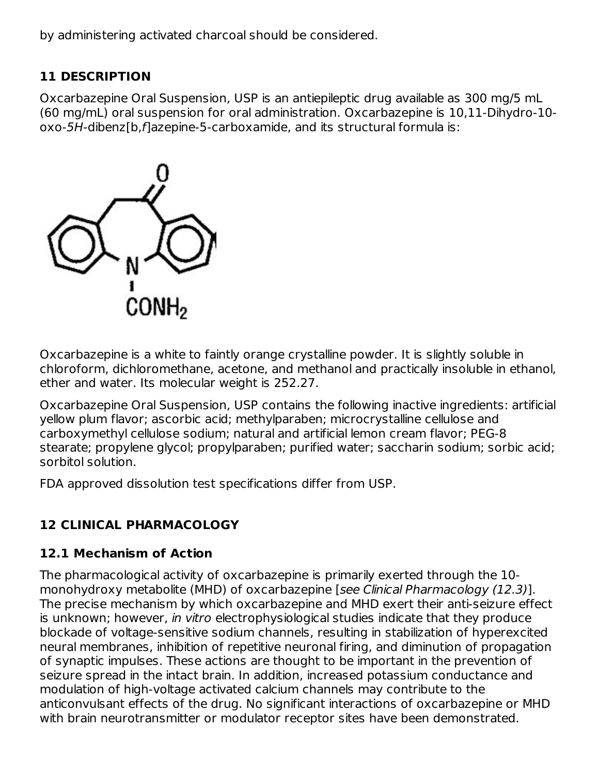by administering activated charcoal should be considered.

## **11 DESCRIPTION**

Oxcarbazepine Oral Suspension, USP is an antiepileptic drug available as 300 mg/5 mL (60 mg/mL) oral suspension for oral administration. Oxcarbazepine is 10,11-Dihydro-10 oxo-5H-dibenz[b,f]azepine-5-carboxamide, and its structural formula is:



Oxcarbazepine is a white to faintly orange crystalline powder. It is slightly soluble in chloroform, dichloromethane, acetone, and methanol and practically insoluble in ethanol, ether and water. Its molecular weight is 252.27.

Oxcarbazepine Oral Suspension, USP contains the following inactive ingredients: artificial yellow plum flavor; ascorbic acid; methylparaben; microcrystalline cellulose and carboxymethyl cellulose sodium; natural and artificial lemon cream flavor; PEG-8 stearate; propylene glycol; propylparaben; purified water; saccharin sodium; sorbic acid; sorbitol solution.

FDA approved dissolution test specifications differ from USP.

# **12 CLINICAL PHARMACOLOGY**

# **12.1 Mechanism of Action**

The pharmacological activity of oxcarbazepine is primarily exerted through the 10 monohydroxy metabolite (MHD) of oxcarbazepine [see Clinical Pharmacology (12.3)]. The precise mechanism by which oxcarbazepine and MHD exert their anti-seizure effect is unknown; however, in vitro electrophysiological studies indicate that they produce blockade of voltage-sensitive sodium channels, resulting in stabilization of hyperexcited neural membranes, inhibition of repetitive neuronal firing, and diminution of propagation of synaptic impulses. These actions are thought to be important in the prevention of seizure spread in the intact brain. In addition, increased potassium conductance and modulation of high-voltage activated calcium channels may contribute to the anticonvulsant effects of the drug. No significant interactions of oxcarbazepine or MHD with brain neurotransmitter or modulator receptor sites have been demonstrated.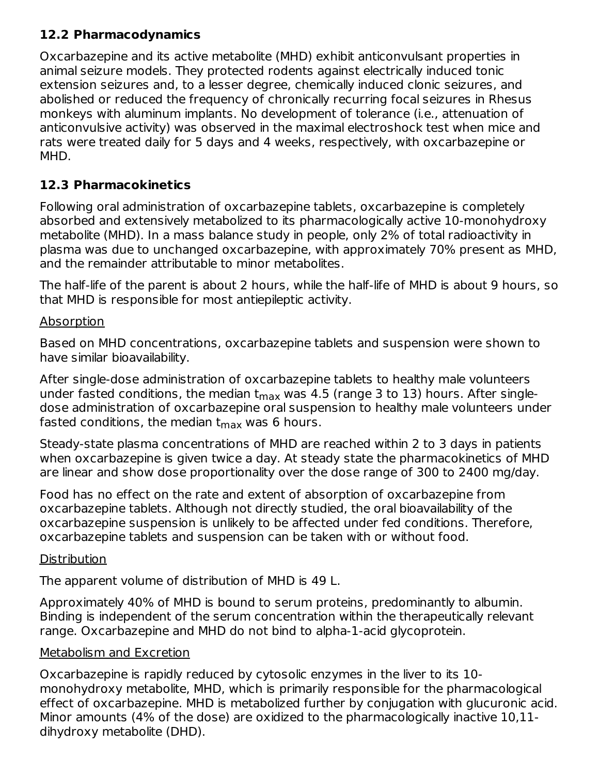## **12.2 Pharmacodynamics**

Oxcarbazepine and its active metabolite (MHD) exhibit anticonvulsant properties in animal seizure models. They protected rodents against electrically induced tonic extension seizures and, to a lesser degree, chemically induced clonic seizures, and abolished or reduced the frequency of chronically recurring focal seizures in Rhesus monkeys with aluminum implants. No development of tolerance (i.e., attenuation of anticonvulsive activity) was observed in the maximal electroshock test when mice and rats were treated daily for 5 days and 4 weeks, respectively, with oxcarbazepine or MHD.

## **12.3 Pharmacokinetics**

Following oral administration of oxcarbazepine tablets, oxcarbazepine is completely absorbed and extensively metabolized to its pharmacologically active 10-monohydroxy metabolite (MHD). In a mass balance study in people, only 2% of total radioactivity in plasma was due to unchanged oxcarbazepine, with approximately 70% present as MHD, and the remainder attributable to minor metabolites.

The half-life of the parent is about 2 hours, while the half-life of MHD is about 9 hours, so that MHD is responsible for most antiepileptic activity.

## Absorption

Based on MHD concentrations, oxcarbazepine tablets and suspension were shown to have similar bioavailability.

After single-dose administration of oxcarbazepine tablets to healthy male volunteers under fasted conditions, the median t<sub>max</sub> was 4.5 (range 3 to 13) hours. After singledose administration of oxcarbazepine oral suspension to healthy male volunteers under fasted conditions, the median t $_{\sf max}$  was 6 hours.

Steady-state plasma concentrations of MHD are reached within 2 to 3 days in patients when oxcarbazepine is given twice a day. At steady state the pharmacokinetics of MHD are linear and show dose proportionality over the dose range of 300 to 2400 mg/day.

Food has no effect on the rate and extent of absorption of oxcarbazepine from oxcarbazepine tablets. Although not directly studied, the oral bioavailability of the oxcarbazepine suspension is unlikely to be affected under fed conditions. Therefore, oxcarbazepine tablets and suspension can be taken with or without food.

## **Distribution**

The apparent volume of distribution of MHD is 49 L.

Approximately 40% of MHD is bound to serum proteins, predominantly to albumin. Binding is independent of the serum concentration within the therapeutically relevant range. Oxcarbazepine and MHD do not bind to alpha-1-acid glycoprotein.

## Metabolism and Excretion

Oxcarbazepine is rapidly reduced by cytosolic enzymes in the liver to its 10 monohydroxy metabolite, MHD, which is primarily responsible for the pharmacological effect of oxcarbazepine. MHD is metabolized further by conjugation with glucuronic acid. Minor amounts (4% of the dose) are oxidized to the pharmacologically inactive 10,11 dihydroxy metabolite (DHD).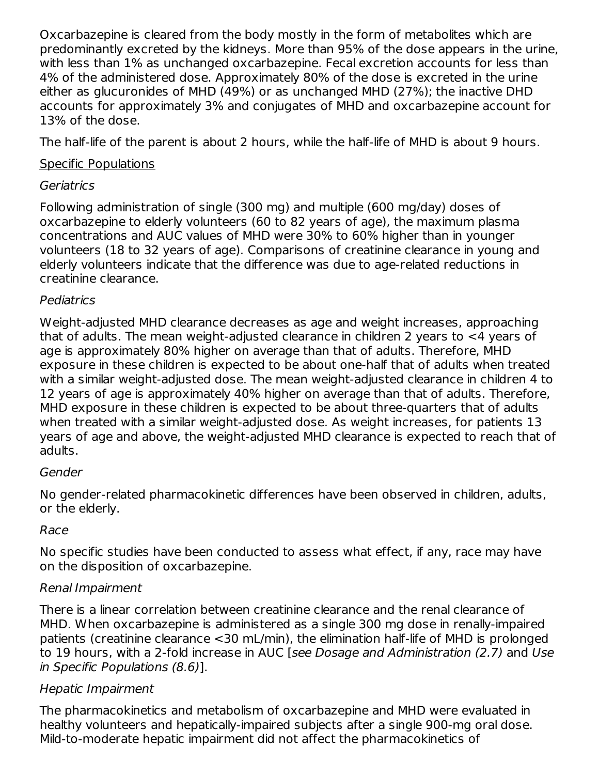Oxcarbazepine is cleared from the body mostly in the form of metabolites which are predominantly excreted by the kidneys. More than 95% of the dose appears in the urine, with less than 1% as unchanged oxcarbazepine. Fecal excretion accounts for less than 4% of the administered dose. Approximately 80% of the dose is excreted in the urine either as glucuronides of MHD (49%) or as unchanged MHD (27%); the inactive DHD accounts for approximately 3% and conjugates of MHD and oxcarbazepine account for 13% of the dose.

The half-life of the parent is about 2 hours, while the half-life of MHD is about 9 hours.

## Specific Populations

## Geriatrics

Following administration of single (300 mg) and multiple (600 mg/day) doses of oxcarbazepine to elderly volunteers (60 to 82 years of age), the maximum plasma concentrations and AUC values of MHD were 30% to 60% higher than in younger volunteers (18 to 32 years of age). Comparisons of creatinine clearance in young and elderly volunteers indicate that the difference was due to age-related reductions in creatinine clearance.

## Pediatrics

Weight-adjusted MHD clearance decreases as age and weight increases, approaching that of adults. The mean weight-adjusted clearance in children 2 years to <4 years of age is approximately 80% higher on average than that of adults. Therefore, MHD exposure in these children is expected to be about one-half that of adults when treated with a similar weight-adjusted dose. The mean weight-adjusted clearance in children 4 to 12 years of age is approximately 40% higher on average than that of adults. Therefore, MHD exposure in these children is expected to be about three-quarters that of adults when treated with a similar weight-adjusted dose. As weight increases, for patients 13 years of age and above, the weight-adjusted MHD clearance is expected to reach that of adults.

## Gender

No gender-related pharmacokinetic differences have been observed in children, adults, or the elderly.

## Race

No specific studies have been conducted to assess what effect, if any, race may have on the disposition of oxcarbazepine.

## Renal Impairment

There is a linear correlation between creatinine clearance and the renal clearance of MHD. When oxcarbazepine is administered as a single 300 mg dose in renally-impaired patients (creatinine clearance <30 mL/min), the elimination half-life of MHD is prolonged to 19 hours, with a 2-fold increase in AUC [see Dosage and Administration (2.7) and Use in Specific Populations (8.6)].

## Hepatic Impairment

The pharmacokinetics and metabolism of oxcarbazepine and MHD were evaluated in healthy volunteers and hepatically-impaired subjects after a single 900-mg oral dose. Mild-to-moderate hepatic impairment did not affect the pharmacokinetics of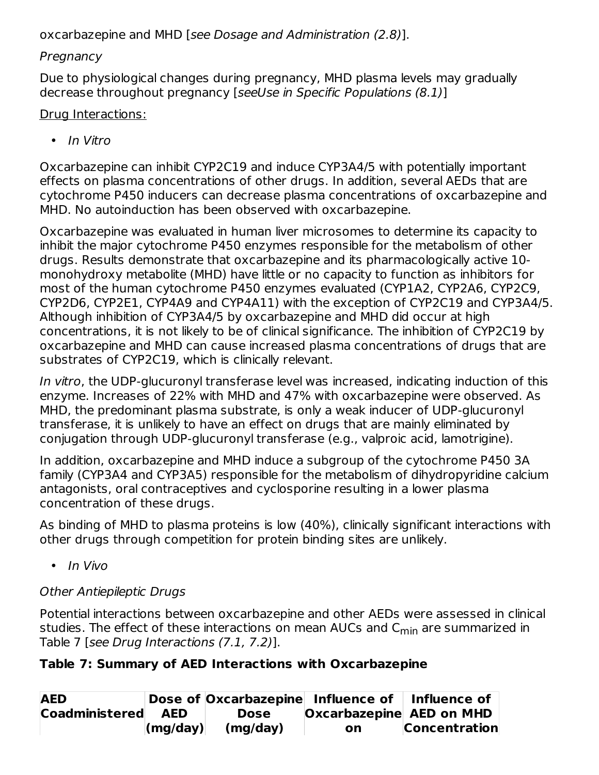oxcarbazepine and MHD [see Dosage and Administration (2.8)].

## **Pregnancy**

Due to physiological changes during pregnancy, MHD plasma levels may gradually decrease throughout pregnancy [seeUse in Specific Populations (8.1)]

## Drug Interactions:

• In Vitro

Oxcarbazepine can inhibit CYP2C19 and induce CYP3A4/5 with potentially important effects on plasma concentrations of other drugs. In addition, several AEDs that are cytochrome P450 inducers can decrease plasma concentrations of oxcarbazepine and MHD. No autoinduction has been observed with oxcarbazepine.

Oxcarbazepine was evaluated in human liver microsomes to determine its capacity to inhibit the major cytochrome P450 enzymes responsible for the metabolism of other drugs. Results demonstrate that oxcarbazepine and its pharmacologically active 10 monohydroxy metabolite (MHD) have little or no capacity to function as inhibitors for most of the human cytochrome P450 enzymes evaluated (CYP1A2, CYP2A6, CYP2C9, CYP2D6, CYP2E1, CYP4A9 and CYP4A11) with the exception of CYP2C19 and CYP3A4/5. Although inhibition of CYP3A4/5 by oxcarbazepine and MHD did occur at high concentrations, it is not likely to be of clinical significance. The inhibition of CYP2C19 by oxcarbazepine and MHD can cause increased plasma concentrations of drugs that are substrates of CYP2C19, which is clinically relevant.

In vitro, the UDP-glucuronyl transferase level was increased, indicating induction of this enzyme. Increases of 22% with MHD and 47% with oxcarbazepine were observed. As MHD, the predominant plasma substrate, is only a weak inducer of UDP-glucuronyl transferase, it is unlikely to have an effect on drugs that are mainly eliminated by conjugation through UDP-glucuronyl transferase (e.g., valproic acid, lamotrigine).

In addition, oxcarbazepine and MHD induce a subgroup of the cytochrome P450 3A family (CYP3A4 and CYP3A5) responsible for the metabolism of dihydropyridine calcium antagonists, oral contraceptives and cyclosporine resulting in a lower plasma concentration of these drugs.

As binding of MHD to plasma proteins is low (40%), clinically significant interactions with other drugs through competition for protein binding sites are unlikely.

• In Vivo

# Other Antiepileptic Drugs

Potential interactions between oxcarbazepine and other AEDs were assessed in clinical studies. The effect of these interactions on mean AUCs and C<sub>min</sub> are summarized in Table 7 [see Drug Interactions (7.1, 7.2)].

# **Table 7: Summary of AED Interactions with Oxcarbazepine**

| <b>AED</b>         |                          | Dose of Oxcarbazepine Influence of   Influence of |                                 |                      |
|--------------------|--------------------------|---------------------------------------------------|---------------------------------|----------------------|
| Coadministered AED |                          | Dose                                              | <b>Oxcarbazepine AED on MHD</b> |                      |
|                    | $\vert$ (mg/day) $\vert$ | (mg/day)                                          | on                              | <b>Concentration</b> |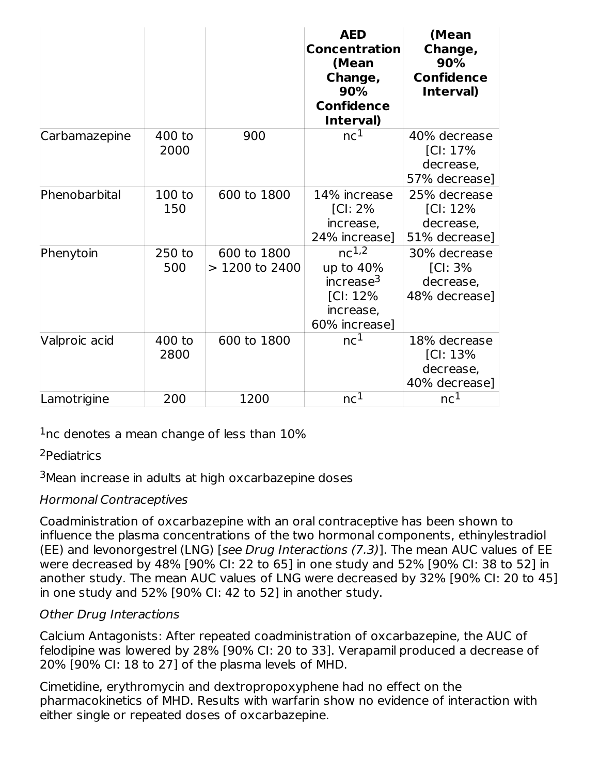|               |                |                                | <b>AED</b><br><b>Concentration</b><br>(Mean<br>Change,<br>90%<br><b>Confidence</b><br>Interval) | (Mean<br>Change,<br>90%<br><b>Confidence</b><br>Interval) |
|---------------|----------------|--------------------------------|-------------------------------------------------------------------------------------------------|-----------------------------------------------------------|
| Carbamazepine | 400 to<br>2000 | 900                            | nc <sup>1</sup>                                                                                 | 40% decrease<br>[Cl: 17%<br>decrease,<br>57% decrease]    |
| Phenobarbital | 100 to<br>150  | 600 to 1800                    | 14% increase<br>[Cl: 2%<br>increase,<br>24% increase]                                           | 25% decrease<br>[Cl: 12%<br>decrease,<br>51% decrease]    |
| Phenytoin     | 250 to<br>500  | 600 to 1800<br>$>1200$ to 2400 | $nc^{1,2}$<br>up to 40%<br>increase <sup>3</sup><br>$[Cl: 12\%]$<br>increase,<br>60% increase]  | 30% decrease<br>[Cl: 3%<br>decrease,<br>48% decrease]     |
| Valproic acid | 400 to<br>2800 | 600 to 1800                    | nc <sup>1</sup>                                                                                 | 18% decrease<br>[Cl: 13%<br>decrease,<br>40% decrease]    |
| Lamotrigine   | 200            | 1200                           | nc <sup>1</sup>                                                                                 | nc <sup>1</sup>                                           |

 $1$ nc denotes a mean change of less than  $10\%$ 

<sup>2</sup>Pediatrics

<sup>3</sup>Mean increase in adults at high oxcarbazepine doses

## Hormonal Contraceptives

Coadministration of oxcarbazepine with an oral contraceptive has been shown to influence the plasma concentrations of the two hormonal components, ethinylestradiol (EE) and levonorgestrel (LNG) [see Drug Interactions (7.3)]. The mean AUC values of EE were decreased by 48% [90% CI: 22 to 65] in one study and 52% [90% CI: 38 to 52] in another study. The mean AUC values of LNG were decreased by 32% [90% CI: 20 to 45] in one study and 52% [90% CI: 42 to 52] in another study.

## Other Drug Interactions

Calcium Antagonists: After repeated coadministration of oxcarbazepine, the AUC of felodipine was lowered by 28% [90% CI: 20 to 33]. Verapamil produced a decrease of 20% [90% CI: 18 to 27] of the plasma levels of MHD.

Cimetidine, erythromycin and dextropropoxyphene had no effect on the pharmacokinetics of MHD. Results with warfarin show no evidence of interaction with either single or repeated doses of oxcarbazepine.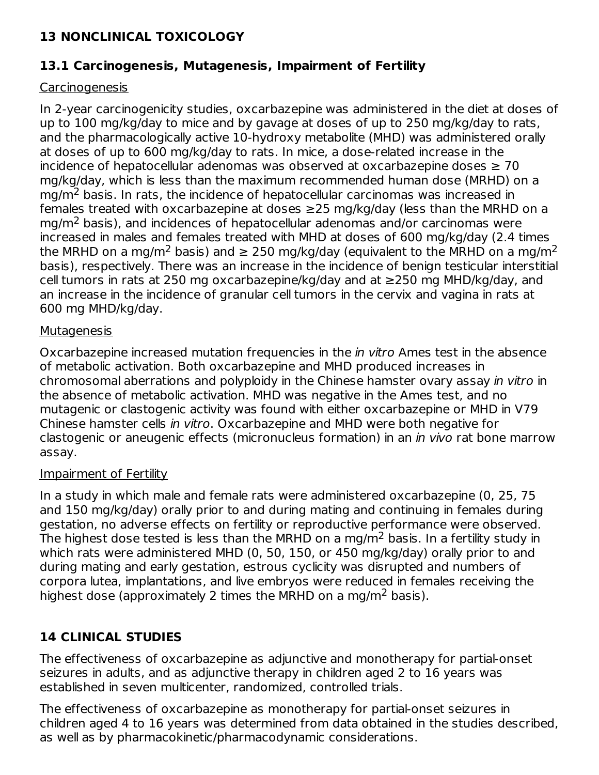## **13 NONCLINICAL TOXICOLOGY**

### **13.1 Carcinogenesis, Mutagenesis, Impairment of Fertility**

### Carcinogenesis

In 2-year carcinogenicity studies, oxcarbazepine was administered in the diet at doses of up to 100 mg/kg/day to mice and by gavage at doses of up to 250 mg/kg/day to rats, and the pharmacologically active 10-hydroxy metabolite (MHD) was administered orally at doses of up to 600 mg/kg/day to rats. In mice, a dose-related increase in the incidence of hepatocellular adenomas was observed at oxcarbazepine doses  $\geq 70$ mg/kg/day, which is less than the maximum recommended human dose (MRHD) on a mg/m<sup>2</sup> basis. In rats, the incidence of hepatocellular carcinomas was increased in females treated with oxcarbazepine at doses ≥25 mg/kg/day (less than the MRHD on a  $mg/m<sup>2</sup>$  basis), and incidences of hepatocellular adenomas and/or carcinomas were increased in males and females treated with MHD at doses of 600 mg/kg/day (2.4 times the MRHD on a mg/m<sup>2</sup> basis) and  $\geq$  250 mg/kg/day (equivalent to the MRHD on a mg/m<sup>2</sup> basis), respectively. There was an increase in the incidence of benign testicular interstitial cell tumors in rats at 250 mg oxcarbazepine/kg/day and at ≥250 mg MHD/kg/day, and an increase in the incidence of granular cell tumors in the cervix and vagina in rats at 600 mg MHD/kg/day.

### **Mutagenesis**

Oxcarbazepine increased mutation frequencies in the *in vitro* Ames test in the absence of metabolic activation. Both oxcarbazepine and MHD produced increases in chromosomal aberrations and polyploidy in the Chinese hamster ovary assay in vitro in the absence of metabolic activation. MHD was negative in the Ames test, and no mutagenic or clastogenic activity was found with either oxcarbazepine or MHD in V79 Chinese hamster cells in vitro. Oxcarbazepine and MHD were both negative for clastogenic or aneugenic effects (micronucleus formation) in an in vivo rat bone marrow assay.

### Impairment of Fertility

In a study in which male and female rats were administered oxcarbazepine (0, 25, 75 and 150 mg/kg/day) orally prior to and during mating and continuing in females during gestation, no adverse effects on fertility or reproductive performance were observed. The highest dose tested is less than the MRHD on a mg/m $^2$  basis. In a fertility study in which rats were administered MHD (0, 50, 150, or 450 mg/kg/day) orally prior to and during mating and early gestation, estrous cyclicity was disrupted and numbers of corpora lutea, implantations, and live embryos were reduced in females receiving the highest dose (approximately 2 times the MRHD on a mg/m<sup>2</sup> basis).

## **14 CLINICAL STUDIES**

The effectiveness of oxcarbazepine as adjunctive and monotherapy for partial-onset seizures in adults, and as adjunctive therapy in children aged 2 to 16 years was established in seven multicenter, randomized, controlled trials.

The effectiveness of oxcarbazepine as monotherapy for partial-onset seizures in children aged 4 to 16 years was determined from data obtained in the studies described, as well as by pharmacokinetic/pharmacodynamic considerations.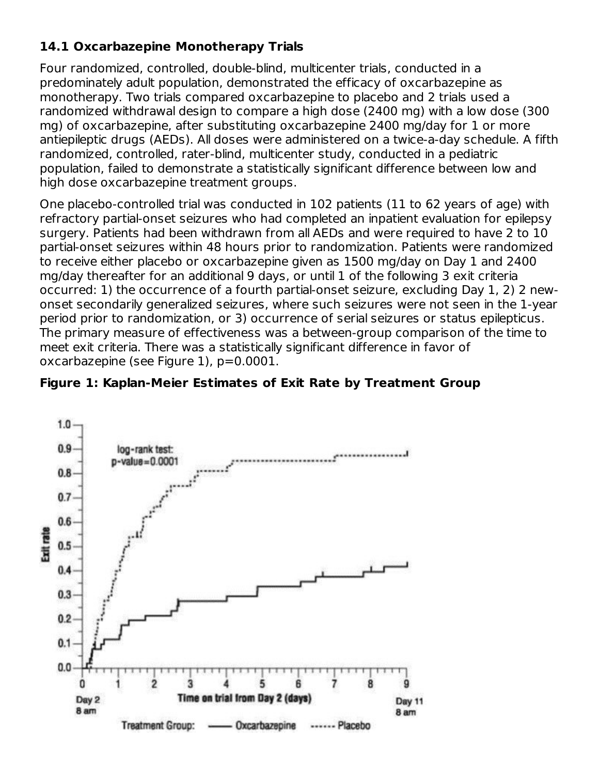## **14.1 Oxcarbazepine Monotherapy Trials**

Four randomized, controlled, double-blind, multicenter trials, conducted in a predominately adult population, demonstrated the efficacy of oxcarbazepine as monotherapy. Two trials compared oxcarbazepine to placebo and 2 trials used a randomized withdrawal design to compare a high dose (2400 mg) with a low dose (300 mg) of oxcarbazepine, after substituting oxcarbazepine 2400 mg/day for 1 or more antiepileptic drugs (AEDs). All doses were administered on a twice-a-day schedule. A fifth randomized, controlled, rater-blind, multicenter study, conducted in a pediatric population, failed to demonstrate a statistically significant difference between low and high dose oxcarbazepine treatment groups.

One placebo-controlled trial was conducted in 102 patients (11 to 62 years of age) with refractory partial-onset seizures who had completed an inpatient evaluation for epilepsy surgery. Patients had been withdrawn from all AEDs and were required to have 2 to 10 partial-onset seizures within 48 hours prior to randomization. Patients were randomized to receive either placebo or oxcarbazepine given as 1500 mg/day on Day 1 and 2400 mg/day thereafter for an additional 9 days, or until 1 of the following 3 exit criteria occurred: 1) the occurrence of a fourth partial-onset seizure, excluding Day 1, 2) 2 newonset secondarily generalized seizures, where such seizures were not seen in the 1-year period prior to randomization, or 3) occurrence of serial seizures or status epilepticus. The primary measure of effectiveness was a between-group comparison of the time to meet exit criteria. There was a statistically significant difference in favor of oxcarbazepine (see Figure 1), p=0.0001.



### **Figure 1: Kaplan-Meier Estimates of Exit Rate by Treatment Group**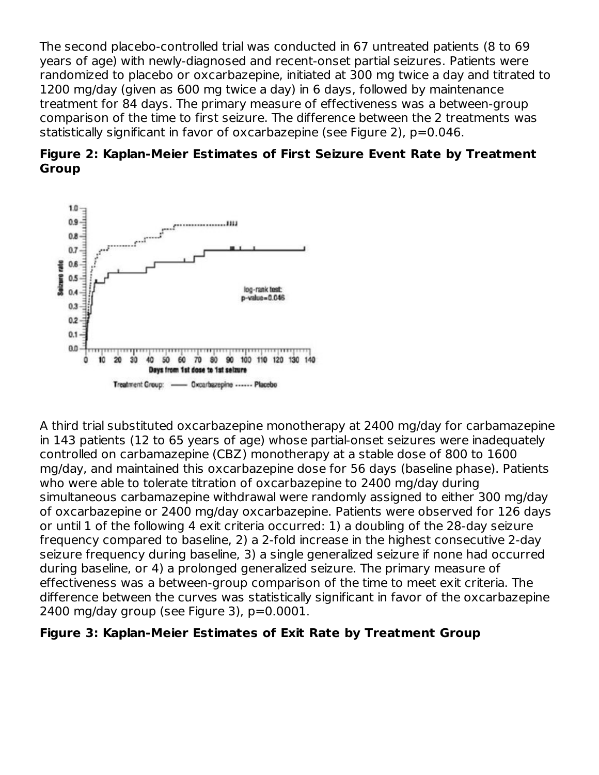The second placebo-controlled trial was conducted in 67 untreated patients (8 to 69 years of age) with newly-diagnosed and recent-onset partial seizures. Patients were randomized to placebo or oxcarbazepine, initiated at 300 mg twice a day and titrated to 1200 mg/day (given as 600 mg twice a day) in 6 days, followed by maintenance treatment for 84 days. The primary measure of effectiveness was a between-group comparison of the time to first seizure. The difference between the 2 treatments was statistically significant in favor of oxcarbazepine (see Figure 2), p=0.046.





A third trial substituted oxcarbazepine monotherapy at 2400 mg/day for carbamazepine in 143 patients (12 to 65 years of age) whose partial-onset seizures were inadequately controlled on carbamazepine (CBZ) monotherapy at a stable dose of 800 to 1600 mg/day, and maintained this oxcarbazepine dose for 56 days (baseline phase). Patients who were able to tolerate titration of oxcarbazepine to 2400 mg/day during simultaneous carbamazepine withdrawal were randomly assigned to either 300 mg/day of oxcarbazepine or 2400 mg/day oxcarbazepine. Patients were observed for 126 days or until 1 of the following 4 exit criteria occurred: 1) a doubling of the 28-day seizure frequency compared to baseline, 2) a 2-fold increase in the highest consecutive 2-day seizure frequency during baseline, 3) a single generalized seizure if none had occurred during baseline, or 4) a prolonged generalized seizure. The primary measure of effectiveness was a between-group comparison of the time to meet exit criteria. The difference between the curves was statistically significant in favor of the oxcarbazepine 2400 mg/day group (see Figure 3), p=0.0001.

### **Figure 3: Kaplan-Meier Estimates of Exit Rate by Treatment Group**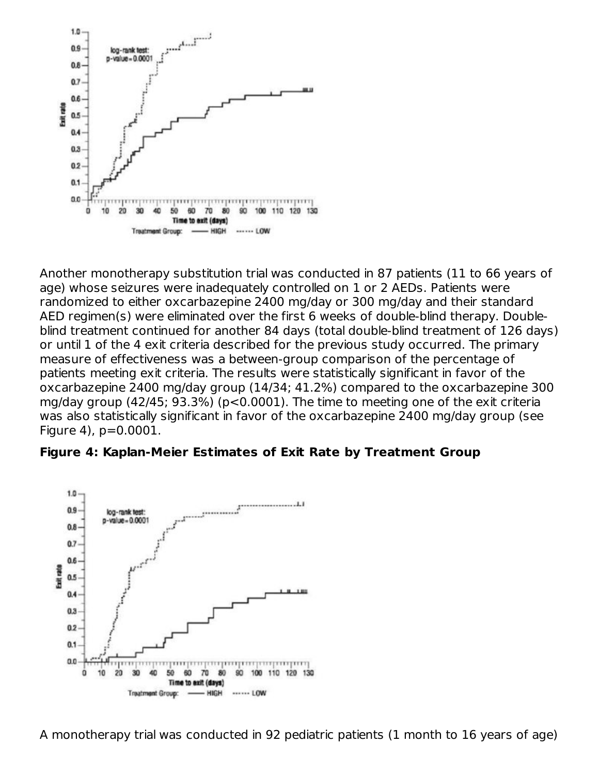

Another monotherapy substitution trial was conducted in 87 patients (11 to 66 years of age) whose seizures were inadequately controlled on 1 or 2 AEDs. Patients were randomized to either oxcarbazepine 2400 mg/day or 300 mg/day and their standard AED regimen(s) were eliminated over the first 6 weeks of double-blind therapy. Doubleblind treatment continued for another 84 days (total double-blind treatment of 126 days) or until 1 of the 4 exit criteria described for the previous study occurred. The primary measure of effectiveness was a between-group comparison of the percentage of patients meeting exit criteria. The results were statistically significant in favor of the oxcarbazepine 2400 mg/day group (14/34; 41.2%) compared to the oxcarbazepine 300 mg/day group (42/45; 93.3%) (p<0.0001). The time to meeting one of the exit criteria was also statistically significant in favor of the oxcarbazepine 2400 mg/day group (see Figure 4), p=0.0001.

#### **Figure 4: Kaplan-Meier Estimates of Exit Rate by Treatment Group**

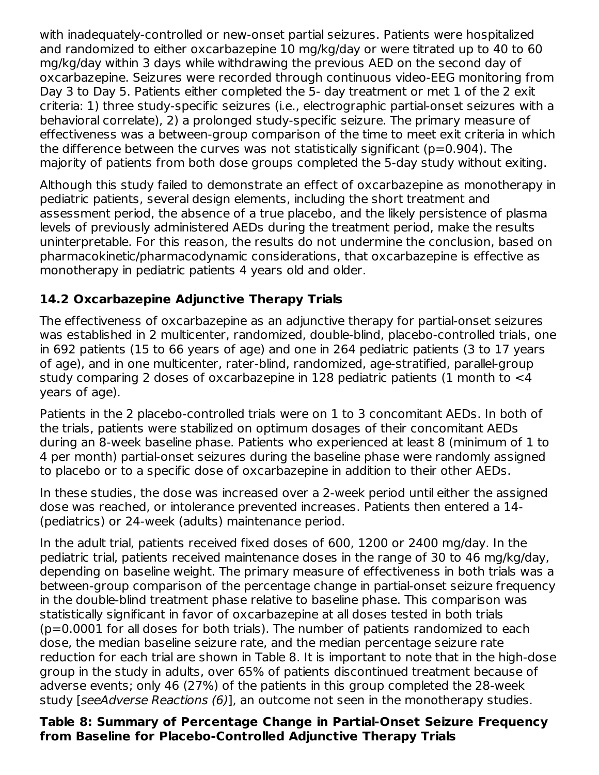with inadequately-controlled or new-onset partial seizures. Patients were hospitalized and randomized to either oxcarbazepine 10 mg/kg/day or were titrated up to 40 to 60 mg/kg/day within 3 days while withdrawing the previous AED on the second day of oxcarbazepine. Seizures were recorded through continuous video-EEG monitoring from Day 3 to Day 5. Patients either completed the 5- day treatment or met 1 of the 2 exit criteria: 1) three study-specific seizures (i.e., electrographic partial-onset seizures with a behavioral correlate), 2) a prolonged study-specific seizure. The primary measure of effectiveness was a between-group comparison of the time to meet exit criteria in which the difference between the curves was not statistically significant ( $p=0.904$ ). The majority of patients from both dose groups completed the 5-day study without exiting.

Although this study failed to demonstrate an effect of oxcarbazepine as monotherapy in pediatric patients, several design elements, including the short treatment and assessment period, the absence of a true placebo, and the likely persistence of plasma levels of previously administered AEDs during the treatment period, make the results uninterpretable. For this reason, the results do not undermine the conclusion, based on pharmacokinetic/pharmacodynamic considerations, that oxcarbazepine is effective as monotherapy in pediatric patients 4 years old and older.

## **14.2 Oxcarbazepine Adjunctive Therapy Trials**

The effectiveness of oxcarbazepine as an adjunctive therapy for partial-onset seizures was established in 2 multicenter, randomized, double-blind, placebo-controlled trials, one in 692 patients (15 to 66 years of age) and one in 264 pediatric patients (3 to 17 years of age), and in one multicenter, rater-blind, randomized, age-stratified, parallel-group study comparing 2 doses of oxcarbazepine in 128 pediatric patients (1 month to <4 years of age).

Patients in the 2 placebo-controlled trials were on 1 to 3 concomitant AEDs. In both of the trials, patients were stabilized on optimum dosages of their concomitant AEDs during an 8-week baseline phase. Patients who experienced at least 8 (minimum of 1 to 4 per month) partial-onset seizures during the baseline phase were randomly assigned to placebo or to a specific dose of oxcarbazepine in addition to their other AEDs.

In these studies, the dose was increased over a 2-week period until either the assigned dose was reached, or intolerance prevented increases. Patients then entered a 14- (pediatrics) or 24-week (adults) maintenance period.

In the adult trial, patients received fixed doses of 600, 1200 or 2400 mg/day. In the pediatric trial, patients received maintenance doses in the range of 30 to 46 mg/kg/day, depending on baseline weight. The primary measure of effectiveness in both trials was a between-group comparison of the percentage change in partial-onset seizure frequency in the double-blind treatment phase relative to baseline phase. This comparison was statistically significant in favor of oxcarbazepine at all doses tested in both trials (p=0.0001 for all doses for both trials). The number of patients randomized to each dose, the median baseline seizure rate, and the median percentage seizure rate reduction for each trial are shown in Table 8. It is important to note that in the high-dose group in the study in adults, over 65% of patients discontinued treatment because of adverse events; only 46 (27%) of the patients in this group completed the 28-week study [seeAdverse Reactions (6)], an outcome not seen in the monotherapy studies.

### **Table 8: Summary of Percentage Change in Partial-Onset Seizure Frequency from Baseline for Placebo-Controlled Adjunctive Therapy Trials**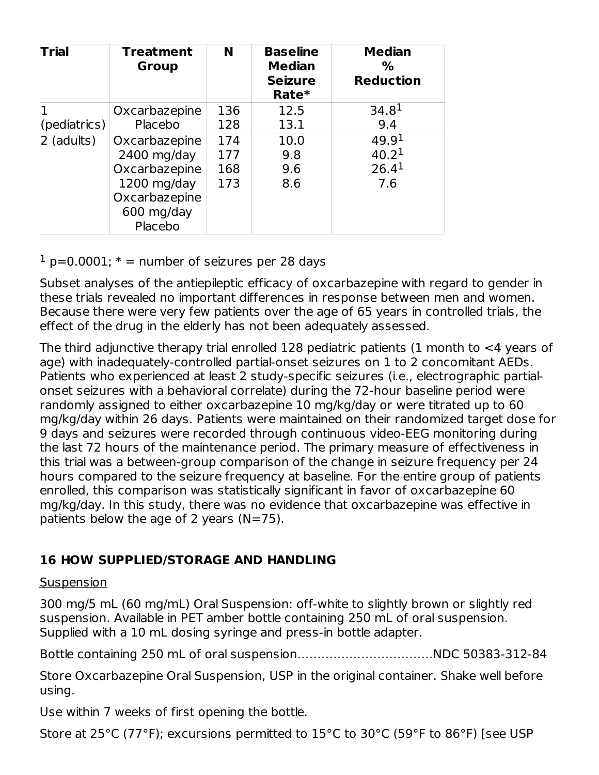| <b>Treatment</b><br><b>Group</b> | N       | <b>Baseline</b><br><b>Median</b><br><b>Seizure</b><br>Rate* | <b>Median</b><br>$\%$<br><b>Reduction</b> |
|----------------------------------|---------|-------------------------------------------------------------|-------------------------------------------|
| Oxcarbazepine                    | 136     | 12.5                                                        | 34.8 <sup>1</sup>                         |
| Placebo                          | 128     | 13.1                                                        | 9.4                                       |
| Oxcarbazepine                    | 174     | 10.0                                                        | 49.9 <sup>1</sup>                         |
| $2400$ mg/day                    | 177     | 9.8                                                         | 40.2 <sup>1</sup>                         |
| Oxcarbazepine                    | 168     | 9.6                                                         | 26.4 <sup>1</sup>                         |
| $1200$ mg/day                    | 173     | 8.6                                                         | 7.6                                       |
| Oxcarbazepine                    |         |                                                             |                                           |
| 600 mg/day                       |         |                                                             |                                           |
|                                  | Placebo |                                                             |                                           |

 $1$  p=0.0001;  $*$  = number of seizures per 28 days

Subset analyses of the antiepileptic efficacy of oxcarbazepine with regard to gender in these trials revealed no important differences in response between men and women. Because there were very few patients over the age of 65 years in controlled trials, the effect of the drug in the elderly has not been adequately assessed.

The third adjunctive therapy trial enrolled 128 pediatric patients (1 month to <4 years of age) with inadequately-controlled partial-onset seizures on 1 to 2 concomitant AEDs. Patients who experienced at least 2 study-specific seizures (i.e., electrographic partialonset seizures with a behavioral correlate) during the 72-hour baseline period were randomly assigned to either oxcarbazepine 10 mg/kg/day or were titrated up to 60 mg/kg/day within 26 days. Patients were maintained on their randomized target dose for 9 days and seizures were recorded through continuous video-EEG monitoring during the last 72 hours of the maintenance period. The primary measure of effectiveness in this trial was a between-group comparison of the change in seizure frequency per 24 hours compared to the seizure frequency at baseline. For the entire group of patients enrolled, this comparison was statistically significant in favor of oxcarbazepine 60 mg/kg/day. In this study, there was no evidence that oxcarbazepine was effective in patients below the age of 2 years  $(N=75)$ .

## **16 HOW SUPPLIED/STORAGE AND HANDLING**

### Suspension

300 mg/5 mL (60 mg/mL) Oral Suspension: off-white to slightly brown or slightly red suspension. Available in PET amber bottle containing 250 mL of oral suspension. Supplied with a 10 mL dosing syringe and press-in bottle adapter.

Bottle containing 250 mL of oral suspension………….…………………NDC 50383-312-84

Store Oxcarbazepine Oral Suspension, USP in the original container. Shake well before using.

Use within 7 weeks of first opening the bottle.

Store at 25°C (77°F); excursions permitted to 15°C to 30°C (59°F to 86°F) [see USP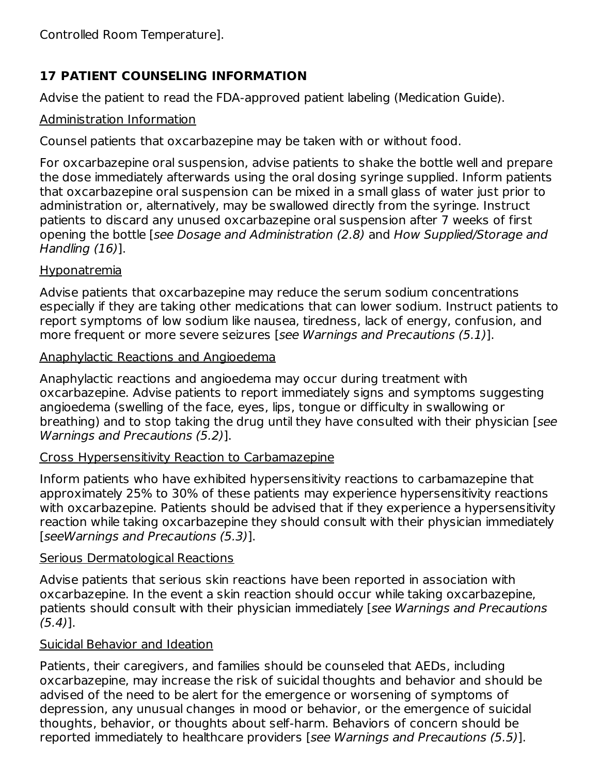# **17 PATIENT COUNSELING INFORMATION**

Advise the patient to read the FDA-approved patient labeling (Medication Guide).

## Administration Information

Counsel patients that oxcarbazepine may be taken with or without food.

For oxcarbazepine oral suspension, advise patients to shake the bottle well and prepare the dose immediately afterwards using the oral dosing syringe supplied. Inform patients that oxcarbazepine oral suspension can be mixed in a small glass of water just prior to administration or, alternatively, may be swallowed directly from the syringe. Instruct patients to discard any unused oxcarbazepine oral suspension after 7 weeks of first opening the bottle [see Dosage and Administration (2.8) and How Supplied/Storage and Handling (16)].

## Hyponatremia

Advise patients that oxcarbazepine may reduce the serum sodium concentrations especially if they are taking other medications that can lower sodium. Instruct patients to report symptoms of low sodium like nausea, tiredness, lack of energy, confusion, and more frequent or more severe seizures [see Warnings and Precautions (5.1)].

## Anaphylactic Reactions and Angioedema

Anaphylactic reactions and angioedema may occur during treatment with oxcarbazepine. Advise patients to report immediately signs and symptoms suggesting angioedema (swelling of the face, eyes, lips, tongue or difficulty in swallowing or breathing) and to stop taking the drug until they have consulted with their physician [see Warnings and Precautions (5.2)].

## Cross Hypersensitivity Reaction to Carbamazepine

Inform patients who have exhibited hypersensitivity reactions to carbamazepine that approximately 25% to 30% of these patients may experience hypersensitivity reactions with oxcarbazepine. Patients should be advised that if they experience a hypersensitivity reaction while taking oxcarbazepine they should consult with their physician immediately [seeWarnings and Precautions (5.3)].

## Serious Dermatological Reactions

Advise patients that serious skin reactions have been reported in association with oxcarbazepine. In the event a skin reaction should occur while taking oxcarbazepine, patients should consult with their physician immediately [see Warnings and Precautions  $(5.4)$ ].

## Suicidal Behavior and Ideation

Patients, their caregivers, and families should be counseled that AEDs, including oxcarbazepine, may increase the risk of suicidal thoughts and behavior and should be advised of the need to be alert for the emergence or worsening of symptoms of depression, any unusual changes in mood or behavior, or the emergence of suicidal thoughts, behavior, or thoughts about self-harm. Behaviors of concern should be reported immediately to healthcare providers [see Warnings and Precautions (5.5)].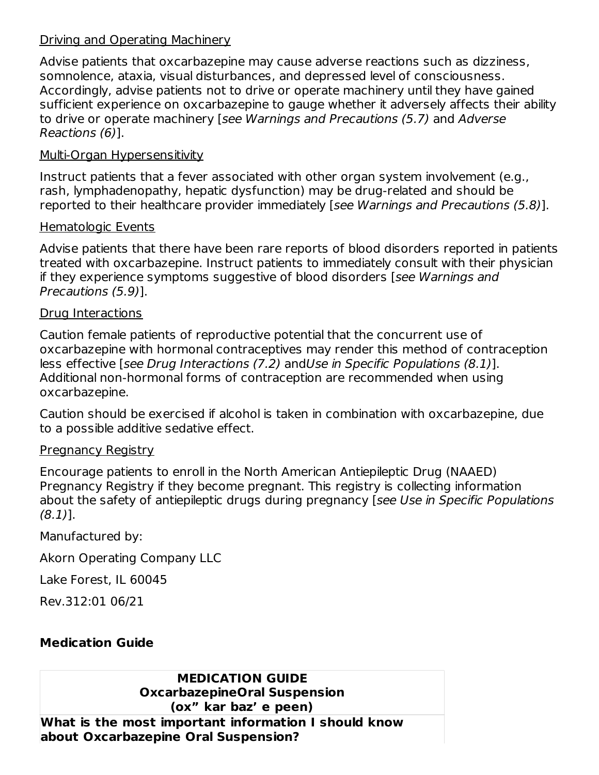### Driving and Operating Machinery

Advise patients that oxcarbazepine may cause adverse reactions such as dizziness, somnolence, ataxia, visual disturbances, and depressed level of consciousness. Accordingly, advise patients not to drive or operate machinery until they have gained sufficient experience on oxcarbazepine to gauge whether it adversely affects their ability to drive or operate machinery [see Warnings and Precautions (5.7) and Adverse Reactions (6)].

### Multi-Organ Hypersensitivity

Instruct patients that a fever associated with other organ system involvement (e.g., rash, lymphadenopathy, hepatic dysfunction) may be drug-related and should be reported to their healthcare provider immediately [see Warnings and Precautions (5.8)].

### Hematologic Events

Advise patients that there have been rare reports of blood disorders reported in patients treated with oxcarbazepine. Instruct patients to immediately consult with their physician if they experience symptoms suggestive of blood disorders [see Warnings and Precautions (5.9)].

### Drug Interactions

Caution female patients of reproductive potential that the concurrent use of oxcarbazepine with hormonal contraceptives may render this method of contraception less effective [see Drug Interactions (7.2) andUse in Specific Populations (8.1)]. Additional non-hormonal forms of contraception are recommended when using oxcarbazepine.

Caution should be exercised if alcohol is taken in combination with oxcarbazepine, due to a possible additive sedative effect.

### **Pregnancy Registry**

Encourage patients to enroll in the North American Antiepileptic Drug (NAAED) Pregnancy Registry if they become pregnant. This registry is collecting information about the safety of antiepileptic drugs during pregnancy [see Use in Specific Populations (8.1)].

Manufactured by:

Akorn Operating Company LLC

Lake Forest, IL 60045

Rev.312:01 06/21

## **Medication Guide**

#### **MEDICATION GUIDE OxcarbazepineOral Suspension (ox" kar baz' e peen)**

**What is the most important information I should know about Oxcarbazepine Oral Suspension?**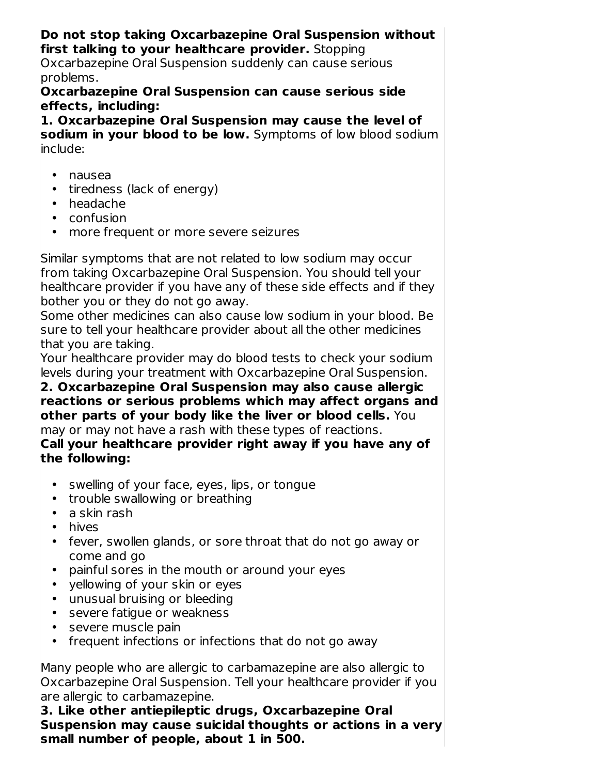#### **Do not stop taking Oxcarbazepine Oral Suspension without first talking to your healthcare provider.** Stopping

Oxcarbazepine Oral Suspension suddenly can cause serious problems.

### **Oxcarbazepine Oral Suspension can cause serious side effects, including:**

**1. Oxcarbazepine Oral Suspension may cause the level of sodium in your blood to be low.** Symptoms of low blood sodium include:

- nausea
- tiredness (lack of energy)
- headache
- confusion
- more frequent or more severe seizures

Similar symptoms that are not related to low sodium may occur from taking Oxcarbazepine Oral Suspension. You should tell your healthcare provider if you have any of these side effects and if they bother you or they do not go away.

Some other medicines can also cause low sodium in your blood. Be sure to tell your healthcare provider about all the other medicines that you are taking.

Your healthcare provider may do blood tests to check your sodium levels during your treatment with Oxcarbazepine Oral Suspension.

**2. Oxcarbazepine Oral Suspension may also cause allergic reactions or serious problems which may affect organs and other parts of your body like the liver or blood cells.** You may or may not have a rash with these types of reactions.

**Call your healthcare provider right away if you have any of the following:**

- swelling of your face, eyes, lips, or tongue
- trouble swallowing or breathing
- a skin rash
- hives
- fever, swollen glands, or sore throat that do not go away or come and go
- painful sores in the mouth or around your eyes
- yellowing of your skin or eyes
- unusual bruising or bleeding
- severe fatigue or weakness
- severe muscle pain
- frequent infections or infections that do not go away

Many people who are allergic to carbamazepine are also allergic to Oxcarbazepine Oral Suspension. Tell your healthcare provider if you are allergic to carbamazepine.

**3. Like other antiepileptic drugs, Oxcarbazepine Oral Suspension may cause suicidal thoughts or actions in a very small number of people, about 1 in 500.**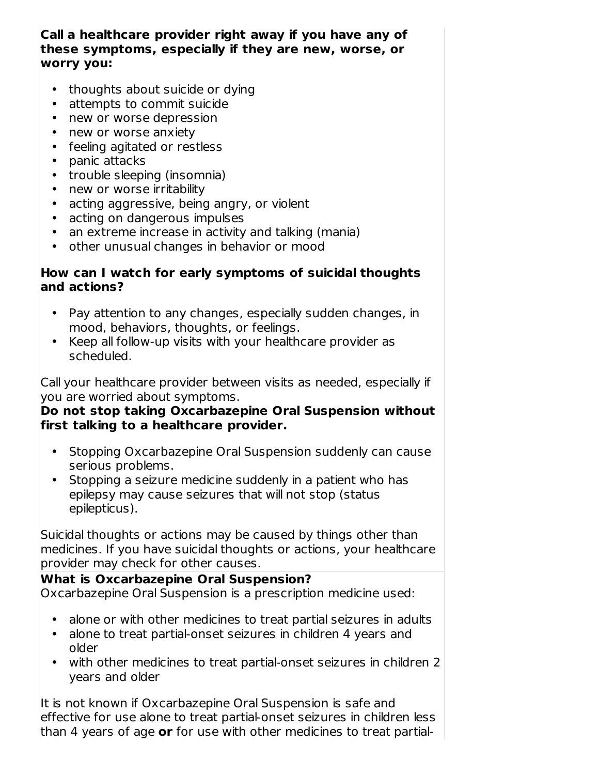### **Call a healthcare provider right away if you have any of these symptoms, especially if they are new, worse, or worry you:**

- thoughts about suicide or dying
- attempts to commit suicide
- new or worse depression
- new or worse anxiety
- feeling agitated or restless
- panic attacks
- trouble sleeping (insomnia)
- new or worse irritability
- acting aggressive, being angry, or violent
- acting on dangerous impulses
- an extreme increase in activity and talking (mania)
- other unusual changes in behavior or mood

### **How can I watch for early symptoms of suicidal thoughts and actions?**

- Pay attention to any changes, especially sudden changes, in mood, behaviors, thoughts, or feelings.
- Keep all follow-up visits with your healthcare provider as scheduled.

Call your healthcare provider between visits as needed, especially if you are worried about symptoms.

### **Do not stop taking Oxcarbazepine Oral Suspension without first talking to a healthcare provider.**

- Stopping Oxcarbazepine Oral Suspension suddenly can cause serious problems.
- Stopping a seizure medicine suddenly in a patient who has epilepsy may cause seizures that will not stop (status epilepticus).

Suicidal thoughts or actions may be caused by things other than medicines. If you have suicidal thoughts or actions, your healthcare provider may check for other causes.

### **What is Oxcarbazepine Oral Suspension?** Oxcarbazepine Oral Suspension is a prescription medicine used:

- alone or with other medicines to treat partial seizures in adults
- alone to treat partial-onset seizures in children 4 years and older
- with other medicines to treat partial-onset seizures in children 2 years and older

It is not known if Oxcarbazepine Oral Suspension is safe and effective for use alone to treat partial-onset seizures in children less than 4 years of age **or** for use with other medicines to treat partial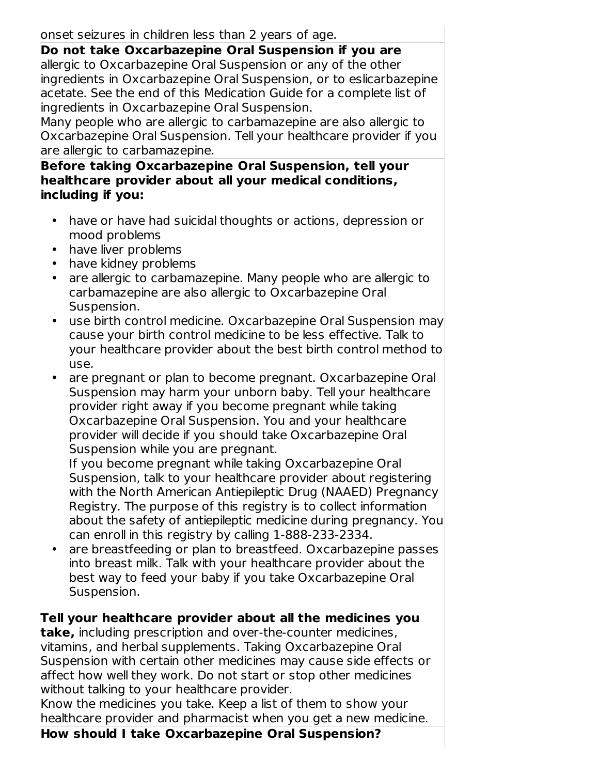onset seizures in children less than 2 years of age.

**Do not take Oxcarbazepine Oral Suspension if you are** allergic to Oxcarbazepine Oral Suspension or any of the other ingredients in Oxcarbazepine Oral Suspension, or to eslicarbazepine acetate. See the end of this Medication Guide for a complete list of ingredients in Oxcarbazepine Oral Suspension.

Many people who are allergic to carbamazepine are also allergic to Oxcarbazepine Oral Suspension. Tell your healthcare provider if you are allergic to carbamazepine.

**Before taking Oxcarbazepine Oral Suspension, tell your healthcare provider about all your medical conditions, including if you:**

- have or have had suicidal thoughts or actions, depression or mood problems
- have liver problems
- have kidney problems
- are allergic to carbamazepine. Many people who are allergic to carbamazepine are also allergic to Oxcarbazepine Oral Suspension.
- use birth control medicine. Oxcarbazepine Oral Suspension may cause your birth control medicine to be less effective. Talk to your healthcare provider about the best birth control method to use.
- are pregnant or plan to become pregnant. Oxcarbazepine Oral Suspension may harm your unborn baby. Tell your healthcare provider right away if you become pregnant while taking Oxcarbazepine Oral Suspension. You and your healthcare provider will decide if you should take Oxcarbazepine Oral Suspension while you are pregnant.

If you become pregnant while taking Oxcarbazepine Oral Suspension, talk to your healthcare provider about registering with the North American Antiepileptic Drug (NAAED) Pregnancy Registry. The purpose of this registry is to collect information about the safety of antiepileptic medicine during pregnancy. You can enroll in this registry by calling 1-888-233-2334.

• are breastfeeding or plan to breastfeed. Oxcarbazepine passes into breast milk. Talk with your healthcare provider about the best way to feed your baby if you take Oxcarbazepine Oral Suspension.

**Tell your healthcare provider about all the medicines you**

**take,** including prescription and over-the-counter medicines, vitamins, and herbal supplements. Taking Oxcarbazepine Oral Suspension with certain other medicines may cause side effects or affect how well they work. Do not start or stop other medicines without talking to your healthcare provider.

Know the medicines you take. Keep a list of them to show your healthcare provider and pharmacist when you get a new medicine.

**How should I take Oxcarbazepine Oral Suspension?**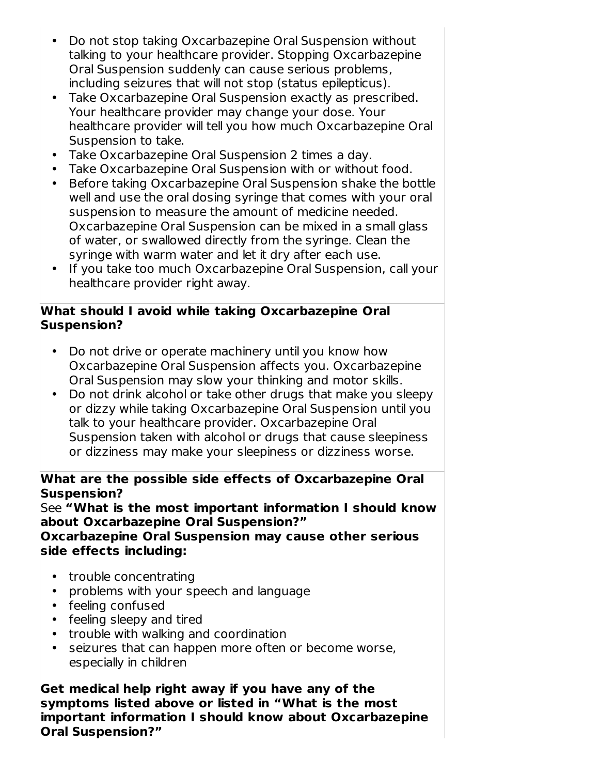- Do not stop taking Oxcarbazepine Oral Suspension without talking to your healthcare provider. Stopping Oxcarbazepine Oral Suspension suddenly can cause serious problems, including seizures that will not stop (status epilepticus).
- Take Oxcarbazepine Oral Suspension exactly as prescribed. Your healthcare provider may change your dose. Your healthcare provider will tell you how much Oxcarbazepine Oral Suspension to take.
- Take Oxcarbazepine Oral Suspension 2 times a day.
- Take Oxcarbazepine Oral Suspension with or without food.
- Before taking Oxcarbazepine Oral Suspension shake the bottle well and use the oral dosing syringe that comes with your oral suspension to measure the amount of medicine needed. Oxcarbazepine Oral Suspension can be mixed in a small glass of water, or swallowed directly from the syringe. Clean the syringe with warm water and let it dry after each use.
- If you take too much Oxcarbazepine Oral Suspension, call your healthcare provider right away.

### **What should I avoid while taking Oxcarbazepine Oral Suspension?**

- Do not drive or operate machinery until you know how Oxcarbazepine Oral Suspension affects you. Oxcarbazepine Oral Suspension may slow your thinking and motor skills.
- Do not drink alcohol or take other drugs that make you sleepy or dizzy while taking Oxcarbazepine Oral Suspension until you talk to your healthcare provider. Oxcarbazepine Oral Suspension taken with alcohol or drugs that cause sleepiness or dizziness may make your sleepiness or dizziness worse.

### **What are the possible side effects of Oxcarbazepine Oral Suspension?**

See **"What is the most important information I should know about Oxcarbazepine Oral Suspension?"**

**Oxcarbazepine Oral Suspension may cause other serious side effects including:**

- trouble concentrating
- problems with your speech and language
- feeling confused
- feeling sleepy and tired
- trouble with walking and coordination
- seizures that can happen more often or become worse, especially in children

**Get medical help right away if you have any of the symptoms listed above or listed in "What is the most important information I should know about Oxcarbazepine Oral Suspension?"**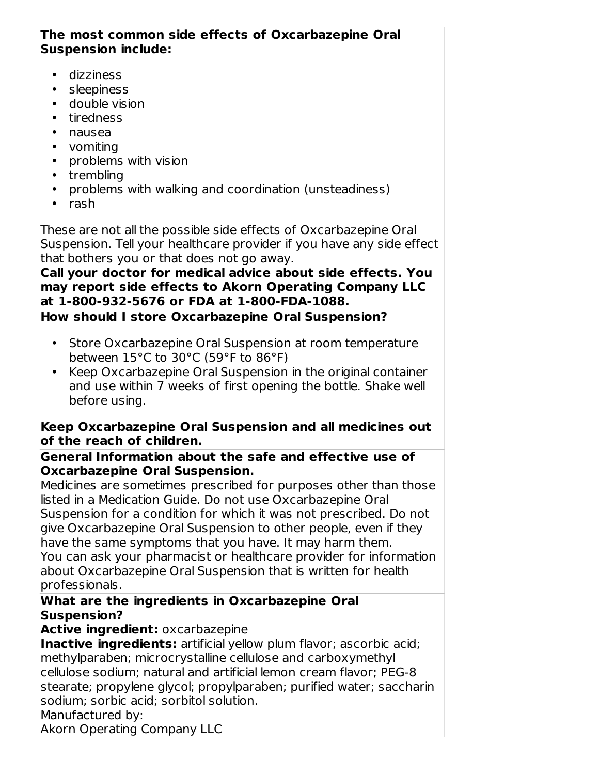### **The most common side effects of Oxcarbazepine Oral Suspension include:**

- dizziness
- sleepiness
- double vision
- tiredness
- nausea
- vomiting
- problems with vision
- trembling
- problems with walking and coordination (unsteadiness)
- rash

These are not all the possible side effects of Oxcarbazepine Oral Suspension. Tell your healthcare provider if you have any side effect that bothers you or that does not go away.

### **Call your doctor for medical advice about side effects. You may report side effects to Akorn Operating Company LLC at 1-800-932-5676 or FDA at 1-800-FDA-1088.**

# **How should I store Oxcarbazepine Oral Suspension?**

- Store Oxcarbazepine Oral Suspension at room temperature between 15°C to 30°C (59°F to 86°F)
- Keep Oxcarbazepine Oral Suspension in the original container and use within 7 weeks of first opening the bottle. Shake well before using.

### **Keep Oxcarbazepine Oral Suspension and all medicines out of the reach of children.**

### **General Information about the safe and effective use of Oxcarbazepine Oral Suspension.**

Medicines are sometimes prescribed for purposes other than those listed in a Medication Guide. Do not use Oxcarbazepine Oral Suspension for a condition for which it was not prescribed. Do not give Oxcarbazepine Oral Suspension to other people, even if they have the same symptoms that you have. It may harm them. You can ask your pharmacist or healthcare provider for information about Oxcarbazepine Oral Suspension that is written for health professionals.

### **What are the ingredients in Oxcarbazepine Oral Suspension?**

## **Active ingredient:** oxcarbazepine

**Inactive ingredients:** artificial yellow plum flavor; ascorbic acid; methylparaben; microcrystalline cellulose and carboxymethyl cellulose sodium; natural and artificial lemon cream flavor; PEG-8 stearate; propylene glycol; propylparaben; purified water; saccharin sodium; sorbic acid; sorbitol solution.

Manufactured by:

Akorn Operating Company LLC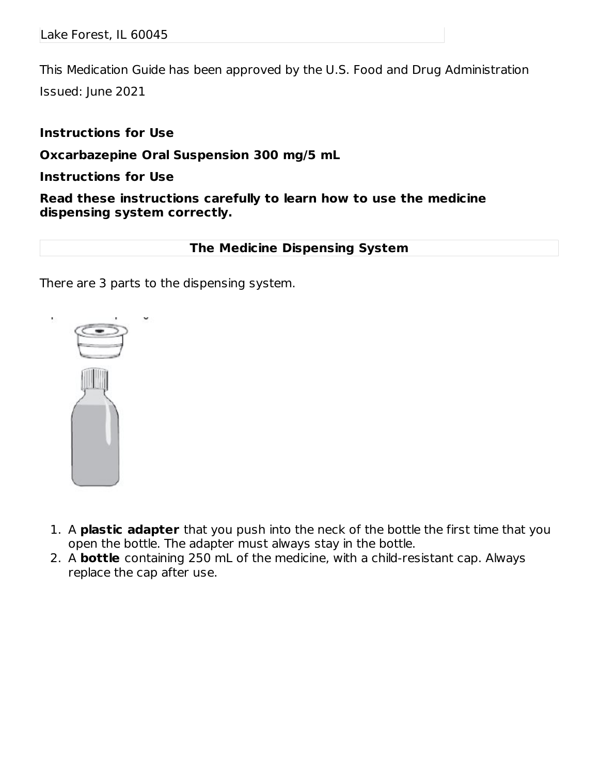This Medication Guide has been approved by the U.S. Food and Drug Administration Issued: June 2021

### **Instructions for Use**

**Oxcarbazepine Oral Suspension 300 mg/5 mL**

### **Instructions for Use**

**Read these instructions carefully to learn how to use the medicine dispensing system correctly.**

### **The Medicine Dispensing System**

There are 3 parts to the dispensing system.



- 1. A **plastic adapter** that you push into the neck of the bottle the first time that you open the bottle. The adapter must always stay in the bottle.
- 2. A **bottle** containing 250 mL of the medicine, with a child-resistant cap. Always replace the cap after use.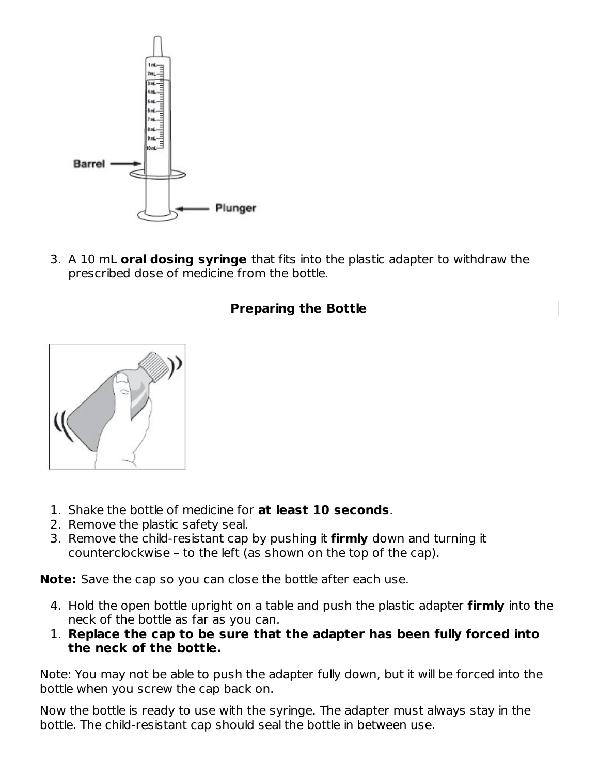

3. A 10 mL **oral dosing syringe** that fits into the plastic adapter to withdraw the prescribed dose of medicine from the bottle.

### **Preparing the Bottle**



- 1. Shake the bottle of medicine for **at least 10 seconds**.
- 2. Remove the plastic safety seal.
- 3. Remove the child-resistant cap by pushing it **firmly** down and turning it counterclockwise – to the left (as shown on the top of the cap).

**Note:** Save the cap so you can close the bottle after each use.

- 4. Hold the open bottle upright on a table and push the plastic adapter **firmly** into the neck of the bottle as far as you can.
- 1. **Replace the cap to be sure that the adapter has been fully forced into the neck of the bottle.**

Note: You may not be able to push the adapter fully down, but it will be forced into the bottle when you screw the cap back on.

Now the bottle is ready to use with the syringe. The adapter must always stay in the bottle. The child-resistant cap should seal the bottle in between use.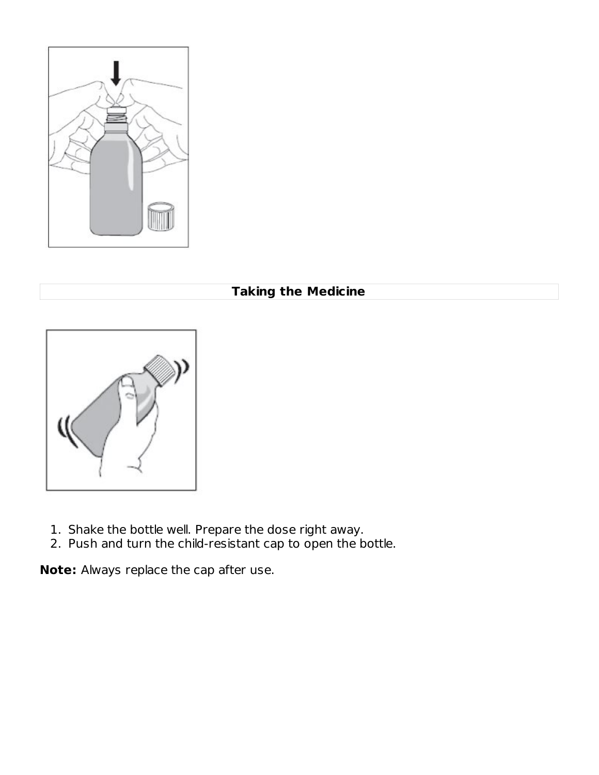

## **Taking the Medicine**



- 1. Shake the bottle well. Prepare the dose right away.
- 2. Push and turn the child-resistant cap to open the bottle.

**Note:** Always replace the cap after use.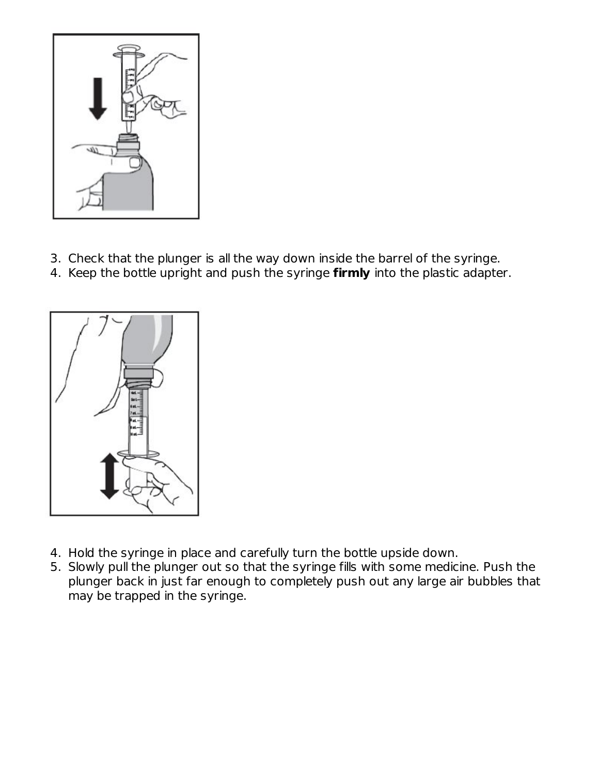

- 3. Check that the plunger is all the way down inside the barrel of the syringe.
- 4. Keep the bottle upright and push the syringe **firmly** into the plastic adapter.



- 4. Hold the syringe in place and carefully turn the bottle upside down.
- 5. Slowly pull the plunger out so that the syringe fills with some medicine. Push the plunger back in just far enough to completely push out any large air bubbles that may be trapped in the syringe.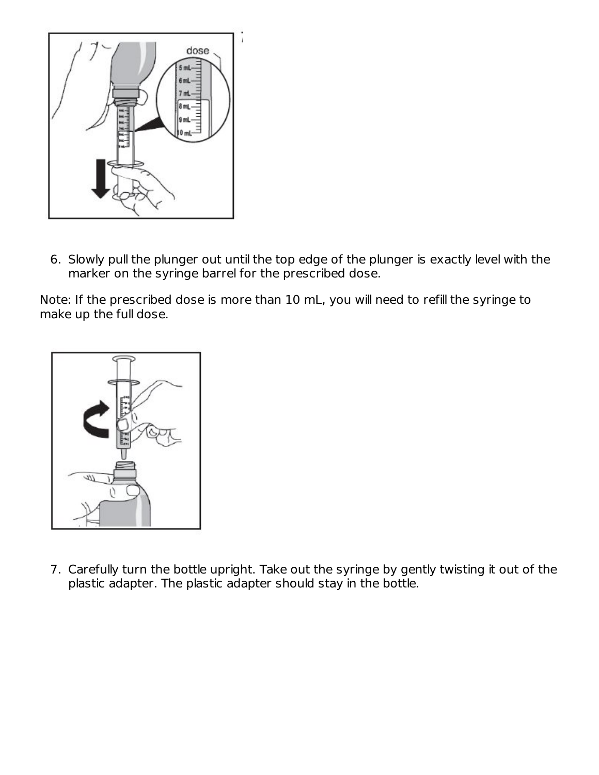

6. Slowly pull the plunger out until the top edge of the plunger is exactly level with the marker on the syringe barrel for the prescribed dose.

Note: If the prescribed dose is more than 10 mL, you will need to refill the syringe to make up the full dose.



7. Carefully turn the bottle upright. Take out the syringe by gently twisting it out of the plastic adapter. The plastic adapter should stay in the bottle.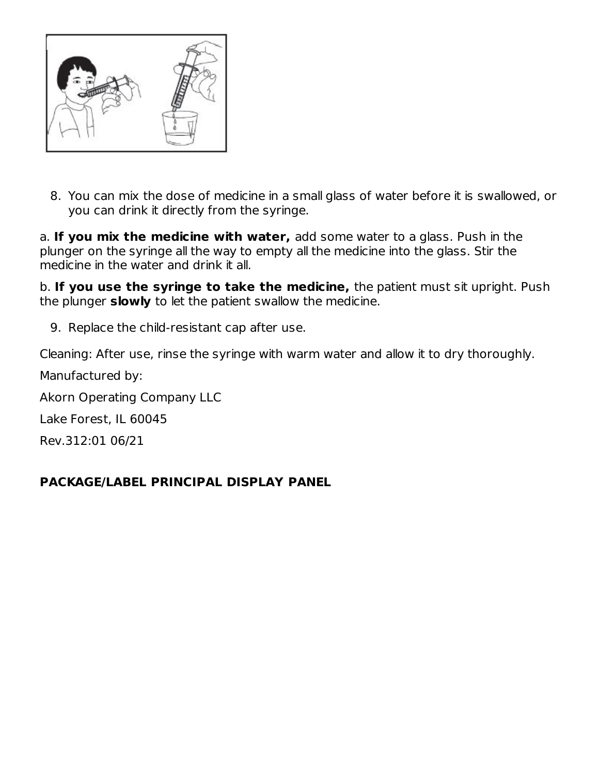

8. You can mix the dose of medicine in a small glass of water before it is swallowed, or you can drink it directly from the syringe.

a. **If you mix the medicine with water,** add some water to a glass. Push in the plunger on the syringe all the way to empty all the medicine into the glass. Stir the medicine in the water and drink it all.

b. **If you use the syringe to take the medicine,** the patient must sit upright. Push the plunger **slowly** to let the patient swallow the medicine.

9. Replace the child-resistant cap after use.

Cleaning: After use, rinse the syringe with warm water and allow it to dry thoroughly.

Manufactured by:

Akorn Operating Company LLC

Lake Forest, IL 60045

Rev.312:01 06/21

## **PACKAGE/LABEL PRINCIPAL DISPLAY PANEL**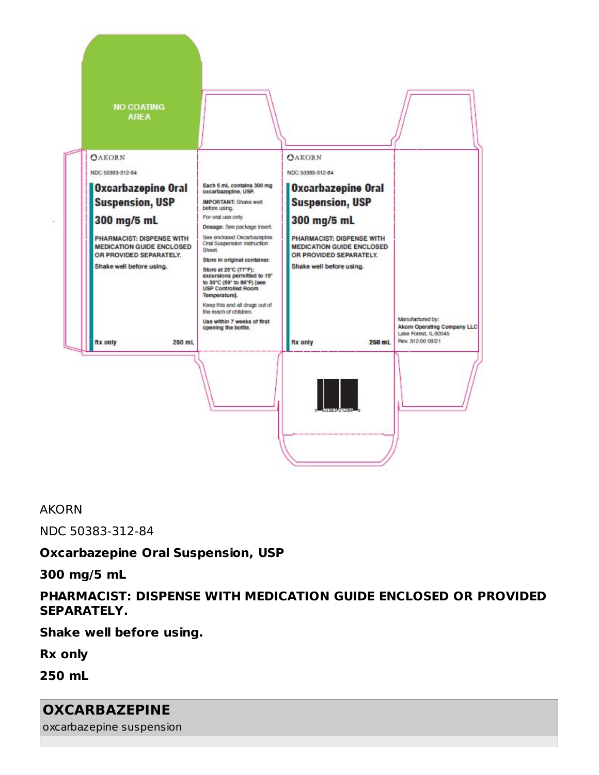

#### AKORN

NDC 50383-312-84

#### **Oxcarbazepine Oral Suspension, USP**

**300 mg/5 mL**

### **PHARMACIST: DISPENSE WITH MEDICATION GUIDE ENCLOSED OR PROVIDED SEPARATELY.**

**Shake well before using.**

**Rx only**

**250 mL**

## **OXCARBAZEPINE**

oxcarbazepine suspension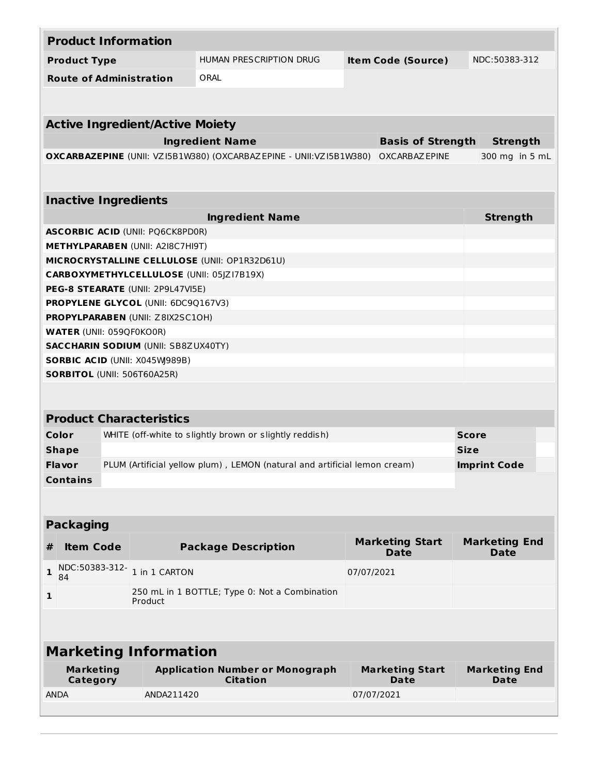| <b>Product Information</b>                                                     |                                                                                            |                                       |                                     |  |  |
|--------------------------------------------------------------------------------|--------------------------------------------------------------------------------------------|---------------------------------------|-------------------------------------|--|--|
| <b>Product Type</b>                                                            | HUMAN PRESCRIPTION DRUG<br><b>Item Code (Source)</b>                                       |                                       | NDC:50383-312                       |  |  |
| <b>Route of Administration</b>                                                 | ORAL                                                                                       |                                       |                                     |  |  |
|                                                                                |                                                                                            |                                       |                                     |  |  |
|                                                                                |                                                                                            |                                       |                                     |  |  |
| <b>Active Ingredient/Active Moiety</b>                                         |                                                                                            |                                       |                                     |  |  |
|                                                                                | <b>Ingredient Name</b>                                                                     | <b>Basis of Strength</b>              | <b>Strength</b>                     |  |  |
|                                                                                | OXCARBAZEPINE (UNII: VZ15B1W380) (OXCARBAZEPINE - UNII:VZ15B1W380) OXCARBAZEPINE           |                                       | 300 mg in 5 mL                      |  |  |
|                                                                                |                                                                                            |                                       |                                     |  |  |
| <b>Inactive Ingredients</b>                                                    |                                                                                            |                                       |                                     |  |  |
|                                                                                | <b>Ingredient Name</b>                                                                     |                                       | <b>Strength</b>                     |  |  |
| <b>ASCORBIC ACID (UNII: PQ6CK8PD0R)</b>                                        |                                                                                            |                                       |                                     |  |  |
| <b>METHYLPARABEN (UNII: A2I8C7HI9T)</b>                                        |                                                                                            |                                       |                                     |  |  |
| MICROCRYSTALLINE CELLULOSE (UNII: OP1R32D61U)                                  |                                                                                            |                                       |                                     |  |  |
| CARBOXYMETHYLCELLULOSE (UNII: 05JZ17B19X)<br>PEG-8 STEARATE (UNII: 2P9L47VI5E) |                                                                                            |                                       |                                     |  |  |
| <b>PROPYLENE GLYCOL (UNII: 6DC9Q167V3)</b>                                     |                                                                                            |                                       |                                     |  |  |
| <b>PROPYLPARABEN (UNII: Z8IX2SC10H)</b>                                        |                                                                                            |                                       |                                     |  |  |
| <b>WATER (UNII: 059QF0KO0R)</b>                                                |                                                                                            |                                       |                                     |  |  |
| <b>SACCHARIN SODIUM (UNII: SB8ZUX40TY)</b>                                     |                                                                                            |                                       |                                     |  |  |
| SORBIC ACID (UNII: X045W989B)                                                  |                                                                                            |                                       |                                     |  |  |
| <b>SORBITOL (UNII: 506T60A25R)</b>                                             |                                                                                            |                                       |                                     |  |  |
|                                                                                |                                                                                            |                                       |                                     |  |  |
|                                                                                |                                                                                            |                                       |                                     |  |  |
| <b>Product Characteristics</b>                                                 |                                                                                            |                                       |                                     |  |  |
| WHITE (off-white to slightly brown or slightly reddish)<br>Color               | <b>Score</b>                                                                               |                                       |                                     |  |  |
| <b>Shape</b>                                                                   |                                                                                            |                                       | <b>Size</b><br><b>Imprint Code</b>  |  |  |
|                                                                                | PLUM (Artificial yellow plum), LEMON (natural and artificial lemon cream)<br><b>Flavor</b> |                                       |                                     |  |  |
| <b>Contains</b>                                                                |                                                                                            |                                       |                                     |  |  |
|                                                                                |                                                                                            |                                       |                                     |  |  |
| <b>Packaging</b>                                                               |                                                                                            |                                       |                                     |  |  |
| #<br><b>Item Code</b>                                                          | <b>Package Description</b>                                                                 | <b>Marketing Start</b><br><b>Date</b> | <b>Marketing End</b><br><b>Date</b> |  |  |
| NDC:50383-312-1 in 1 CARTON<br>$\mathbf{1}$<br>84                              |                                                                                            | 07/07/2021                            |                                     |  |  |
| 1<br>Product                                                                   | 250 mL in 1 BOTTLE; Type 0: Not a Combination                                              |                                       |                                     |  |  |
|                                                                                |                                                                                            |                                       |                                     |  |  |
|                                                                                |                                                                                            |                                       |                                     |  |  |
| <b>Marketing Information</b>                                                   |                                                                                            |                                       |                                     |  |  |
| <b>Marketing</b><br>Category                                                   | <b>Application Number or Monograph</b><br><b>Citation</b>                                  | <b>Marketing Start</b><br><b>Date</b> | <b>Marketing End</b><br><b>Date</b> |  |  |
| <b>ANDA</b><br>ANDA211420                                                      |                                                                                            |                                       |                                     |  |  |
|                                                                                |                                                                                            | 07/07/2021                            |                                     |  |  |